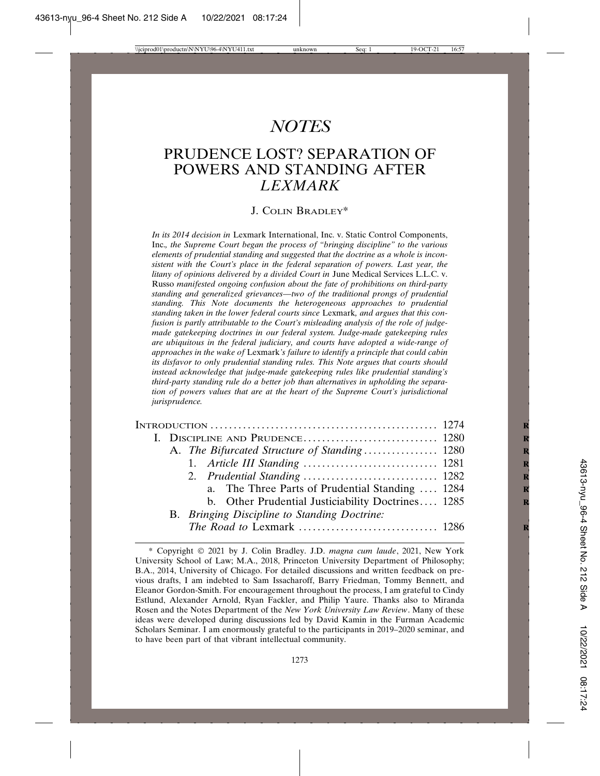# *NOTES*

# PRUDENCE LOST? SEPARATION OF POWERS AND STANDING AFTER *LEXMARK*

### J. COLIN BRADLEY\*

*In its 2014 decision in* Lexmark International, Inc. v. Static Control Components, Inc.*, the Supreme Court began the process of "bringing discipline" to the various elements of prudential standing and suggested that the doctrine as a whole is inconsistent with the Court's place in the federal separation of powers. Last year, the litany of opinions delivered by a divided Court in* June Medical Services L.L.C. v. Russo *manifested ongoing confusion about the fate of prohibitions on third-party standing and generalized grievances—two of the traditional prongs of prudential standing. This Note documents the heterogeneous approaches to prudential standing taken in the lower federal courts since* Lexmark*, and argues that this confusion is partly attributable to the Court's misleading analysis of the role of judgemade gatekeeping doctrines in our federal system. Judge-made gatekeeping rules are ubiquitous in the federal judiciary, and courts have adopted a wide-range of approaches in the wake of* Lexmark*'s failure to identify a principle that could cabin its disfavor to only prudential standing rules. This Note argues that courts should instead acknowledge that judge-made gatekeeping rules like prudential standing's third-party standing rule do a better job than alternatives in upholding the separation of powers values that are at the heart of the Supreme Court's jurisdictional jurisprudence.*

| A. <i>The Bifurcated Structure of Standing</i> 1280 |  |
|-----------------------------------------------------|--|
|                                                     |  |
|                                                     |  |
| a. The Three Parts of Prudential Standing  1284     |  |
| b. Other Prudential Justiciability Doctrines 1285   |  |
| B. Bringing Discipline to Standing Doctrine:        |  |
|                                                     |  |
|                                                     |  |

<sup>\*</sup> Copyright © 2021 by J. Colin Bradley. J.D. *magna cum laude*, 2021, New York University School of Law; M.A., 2018, Princeton University Department of Philosophy; B.A., 2014, University of Chicago. For detailed discussions and written feedback on previous drafts, I am indebted to Sam Issacharoff, Barry Friedman, Tommy Bennett, and Eleanor Gordon-Smith. For encouragement throughout the process, I am grateful to Cindy Estlund, Alexander Arnold, Ryan Fackler, and Philip Yaure. Thanks also to Miranda Rosen and the Notes Department of the *New York University Law Review*. Many of these ideas were developed during discussions led by David Kamin in the Furman Academic Scholars Seminar. I am enormously grateful to the participants in 2019–2020 seminar, and to have been part of that vibrant intellectual community.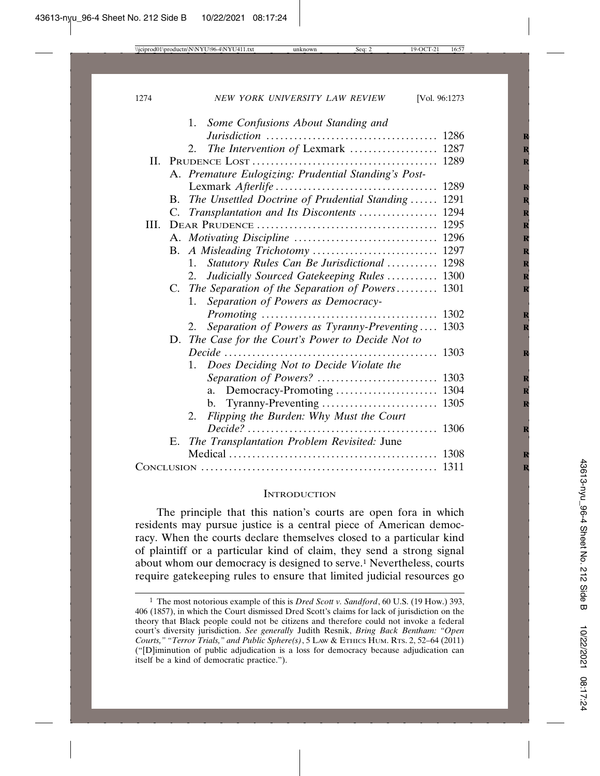|      | 1. Some Confusions About Standing and                 |
|------|-------------------------------------------------------|
|      |                                                       |
|      | The Intervention of Lexmark  1287<br>2.               |
|      |                                                       |
|      | A. Premature Eulogizing: Prudential Standing's Post-  |
|      |                                                       |
| B.   | The Unsettled Doctrine of Prudential Standing  1291   |
|      | C. Transplantation and Its Discontents  1294          |
| III. |                                                       |
|      |                                                       |
|      |                                                       |
|      | Statutory Rules Can Be Jurisdictional  1298<br>1.     |
|      | Judicially Sourced Gatekeeping Rules  1300<br>2.      |
|      | C. The Separation of the Separation of Powers 1301    |
|      | Separation of Powers as Democracy-<br>1.              |
|      | 1302                                                  |
|      | Separation of Powers as Tyranny-Preventing 1303<br>2. |
|      | D. The Case for the Court's Power to Decide Not to    |
|      | 1303                                                  |
|      | 1. Does Deciding Not to Decide Violate the            |
|      |                                                       |
|      | a.                                                    |
|      | b.                                                    |
|      | Flipping the Burden: Why Must the Court<br>2.         |
|      | 1306                                                  |
|      | E. The Transplantation Problem Revisited: June        |
|      |                                                       |
|      |                                                       |
|      |                                                       |

#### **INTRODUCTION**

The principle that this nation's courts are open fora in which residents may pursue justice is a central piece of American democracy. When the courts declare themselves closed to a particular kind of plaintiff or a particular kind of claim, they send a strong signal about whom our democracy is designed to serve.<sup>1</sup> Nevertheless, courts require gatekeeping rules to ensure that limited judicial resources go

<sup>1</sup> The most notorious example of this is *Dred Scott v. Sandford*, 60 U.S. (19 How.) 393, 406 (1857), in which the Court dismissed Dred Scott's claims for lack of jurisdiction on the theory that Black people could not be citizens and therefore could not invoke a federal court's diversity jurisdiction. *See generally* Judith Resnik, *Bring Back Bentham: "Open Courts," "Terror Trials," and Public Sphere(s)*, 5 LAW & ETHICS HUM. RTS. 2, 52–64 (2011) ("[D]iminution of public adjudication is a loss for democracy because adjudication can itself be a kind of democratic practice.").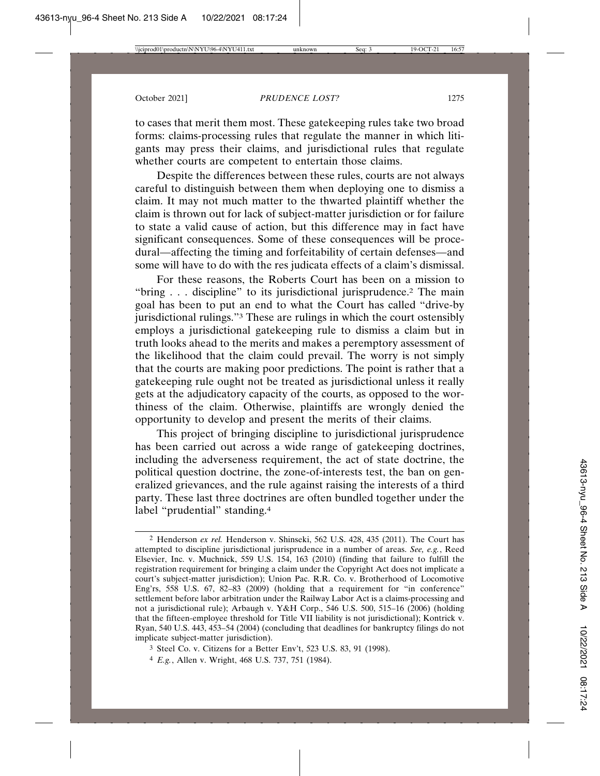to cases that merit them most. These gatekeeping rules take two broad forms: claims-processing rules that regulate the manner in which litigants may press their claims, and jurisdictional rules that regulate whether courts are competent to entertain those claims.

Despite the differences between these rules, courts are not always careful to distinguish between them when deploying one to dismiss a claim. It may not much matter to the thwarted plaintiff whether the claim is thrown out for lack of subject-matter jurisdiction or for failure to state a valid cause of action, but this difference may in fact have significant consequences. Some of these consequences will be procedural—affecting the timing and forfeitability of certain defenses—and some will have to do with the res judicata effects of a claim's dismissal.

For these reasons, the Roberts Court has been on a mission to "bring . . . discipline" to its jurisdictional jurisprudence.<sup>2</sup> The main goal has been to put an end to what the Court has called "drive-by jurisdictional rulings."3 These are rulings in which the court ostensibly employs a jurisdictional gatekeeping rule to dismiss a claim but in truth looks ahead to the merits and makes a peremptory assessment of the likelihood that the claim could prevail. The worry is not simply that the courts are making poor predictions. The point is rather that a gatekeeping rule ought not be treated as jurisdictional unless it really gets at the adjudicatory capacity of the courts, as opposed to the worthiness of the claim. Otherwise, plaintiffs are wrongly denied the opportunity to develop and present the merits of their claims.

This project of bringing discipline to jurisdictional jurisprudence has been carried out across a wide range of gatekeeping doctrines, including the adverseness requirement, the act of state doctrine, the political question doctrine, the zone-of-interests test, the ban on generalized grievances, and the rule against raising the interests of a third party. These last three doctrines are often bundled together under the label "prudential" standing.4

<sup>2</sup> Henderson *ex rel.* Henderson v. Shinseki, 562 U.S. 428, 435 (2011). The Court has attempted to discipline jurisdictional jurisprudence in a number of areas. *See, e.g.*, Reed Elsevier, Inc. v. Muchnick, 559 U.S. 154, 163 (2010) (finding that failure to fulfill the registration requirement for bringing a claim under the Copyright Act does not implicate a court's subject-matter jurisdiction); Union Pac. R.R. Co. v. Brotherhood of Locomotive Eng'rs, 558 U.S. 67, 82–83 (2009) (holding that a requirement for "in conference" settlement before labor arbitration under the Railway Labor Act is a claims-processing and not a jurisdictional rule); Arbaugh v. Y&H Corp., 546 U.S. 500, 515–16 (2006) (holding that the fifteen-employee threshold for Title VII liability is not jurisdictional); Kontrick v. Ryan, 540 U.S. 443, 453–54 (2004) (concluding that deadlines for bankruptcy filings do not implicate subject-matter jurisdiction).

<sup>3</sup> Steel Co. v. Citizens for a Better Env't, 523 U.S. 83, 91 (1998).

<sup>4</sup> *E.g.*, Allen v. Wright, 468 U.S. 737, 751 (1984).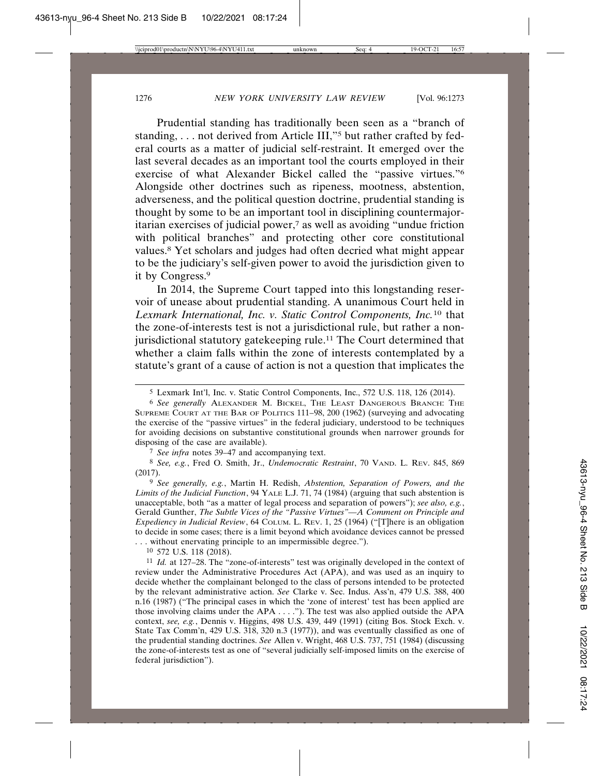Prudential standing has traditionally been seen as a "branch of standing, ... not derived from Article III,"<sup>5</sup> but rather crafted by federal courts as a matter of judicial self-restraint. It emerged over the last several decades as an important tool the courts employed in their exercise of what Alexander Bickel called the "passive virtues."6 Alongside other doctrines such as ripeness, mootness, abstention, adverseness, and the political question doctrine, prudential standing is thought by some to be an important tool in disciplining countermajoritarian exercises of judicial power,7 as well as avoiding "undue friction with political branches" and protecting other core constitutional values.8 Yet scholars and judges had often decried what might appear to be the judiciary's self-given power to avoid the jurisdiction given to it by Congress.9

In 2014, the Supreme Court tapped into this longstanding reservoir of unease about prudential standing. A unanimous Court held in *Lexmark International, Inc. v. Static Control Components, Inc.*10 that the zone-of-interests test is not a jurisdictional rule, but rather a nonjurisdictional statutory gatekeeping rule.<sup>11</sup> The Court determined that whether a claim falls within the zone of interests contemplated by a statute's grant of a cause of action is not a question that implicates the

7 *See infra* notes 39–47 and accompanying text.

8 *See, e.g.*, Fred O. Smith, Jr., *Undemocratic Restraint*, 70 VAND. L. REV. 845, 869 (2017).

9 *See generally, e.g.*, Martin H. Redish, *Abstention, Separation of Powers, and the Limits of the Judicial Function*, 94 YALE L.J. 71, 74 (1984) (arguing that such abstention is unacceptable, both "as a matter of legal process and separation of powers"); *see also, e.g.*, Gerald Gunther, *The Subtle Vices of the "Passive Virtues"—A Comment on Principle and Expediency in Judicial Review*, 64 COLUM. L. REV. 1, 25 (1964) ("[T]here is an obligation to decide in some cases; there is a limit beyond which avoidance devices cannot be pressed . . . without enervating principle to an impermissible degree.").

10 572 U.S. 118 (2018).

11 *Id.* at 127–28. The "zone-of-interests" test was originally developed in the context of review under the Administrative Procedures Act (APA), and was used as an inquiry to decide whether the complainant belonged to the class of persons intended to be protected by the relevant administrative action. *See* Clarke v. Sec. Indus. Ass'n, 479 U.S. 388, 400 n.16 (1987) ("The principal cases in which the 'zone of interest' test has been applied are those involving claims under the APA . . . ."). The test was also applied outside the APA context, *see, e.g.*, Dennis v. Higgins, 498 U.S. 439, 449 (1991) (citing Bos. Stock Exch. v. State Tax Comm'n, 429 U.S. 318, 320 n.3 (1977)), and was eventually classified as one of the prudential standing doctrines. *See* Allen v. Wright, 468 U.S. 737, 751 (1984) (discussing the zone-of-interests test as one of "several judicially self-imposed limits on the exercise of federal jurisdiction").

<sup>5</sup> Lexmark Int'l, Inc. v. Static Control Components, Inc., 572 U.S. 118, 126 (2014).

<sup>6</sup> *See generally* ALEXANDER M. BICKEL, THE LEAST DANGEROUS BRANCH: THE SUPREME COURT AT THE BAR OF POLITICS 111–98, 200 (1962) (surveying and advocating the exercise of the "passive virtues" in the federal judiciary, understood to be techniques for avoiding decisions on substantive constitutional grounds when narrower grounds for disposing of the case are available).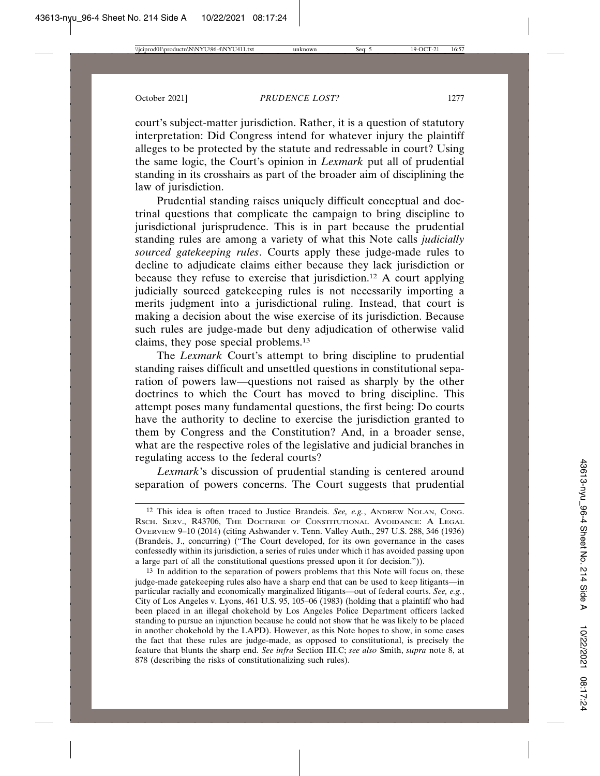court's subject-matter jurisdiction. Rather, it is a question of statutory interpretation: Did Congress intend for whatever injury the plaintiff alleges to be protected by the statute and redressable in court? Using the same logic, the Court's opinion in *Lexmark* put all of prudential standing in its crosshairs as part of the broader aim of disciplining the law of jurisdiction.

Prudential standing raises uniquely difficult conceptual and doctrinal questions that complicate the campaign to bring discipline to jurisdictional jurisprudence. This is in part because the prudential standing rules are among a variety of what this Note calls *judicially sourced gatekeeping rules*. Courts apply these judge-made rules to decline to adjudicate claims either because they lack jurisdiction or because they refuse to exercise that jurisdiction.12 A court applying judicially sourced gatekeeping rules is not necessarily importing a merits judgment into a jurisdictional ruling. Instead, that court is making a decision about the wise exercise of its jurisdiction. Because such rules are judge-made but deny adjudication of otherwise valid claims, they pose special problems.13

The *Lexmark* Court's attempt to bring discipline to prudential standing raises difficult and unsettled questions in constitutional separation of powers law—questions not raised as sharply by the other doctrines to which the Court has moved to bring discipline. This attempt poses many fundamental questions, the first being: Do courts have the authority to decline to exercise the jurisdiction granted to them by Congress and the Constitution? And, in a broader sense, what are the respective roles of the legislative and judicial branches in regulating access to the federal courts?

*Lexmark*'s discussion of prudential standing is centered around separation of powers concerns. The Court suggests that prudential

<sup>12</sup> This idea is often traced to Justice Brandeis. *See, e.g.*, ANDREW NOLAN, CONG. RSCH. SERV., R43706, THE DOCTRINE OF CONSTITUTIONAL AVOIDANCE: A LEGAL OVERVIEW 9–10 (2014) (citing Ashwander v. Tenn. Valley Auth., 297 U.S. 288, 346 (1936) (Brandeis, J., concurring) ("The Court developed, for its own governance in the cases confessedly within its jurisdiction, a series of rules under which it has avoided passing upon a large part of all the constitutional questions pressed upon it for decision.")).

<sup>&</sup>lt;sup>13</sup> In addition to the separation of powers problems that this Note will focus on, these judge-made gatekeeping rules also have a sharp end that can be used to keep litigants—in particular racially and economically marginalized litigants—out of federal courts. *See, e.g.*, City of Los Angeles v. Lyons, 461 U.S. 95, 105–06 (1983) (holding that a plaintiff who had been placed in an illegal chokehold by Los Angeles Police Department officers lacked standing to pursue an injunction because he could not show that he was likely to be placed in another chokehold by the LAPD). However, as this Note hopes to show, in some cases the fact that these rules are judge-made, as opposed to constitutional, is precisely the feature that blunts the sharp end. *See infra* Section III.C; *see also* Smith, *supra* note 8, at 878 (describing the risks of constitutionalizing such rules).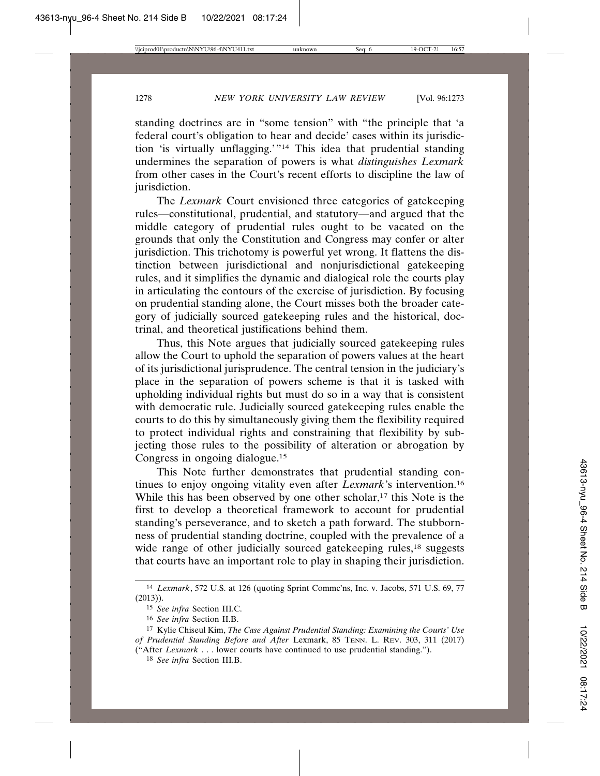standing doctrines are in "some tension" with "the principle that 'a federal court's obligation to hear and decide' cases within its jurisdiction 'is virtually unflagging.'"14 This idea that prudential standing undermines the separation of powers is what *distinguishes Lexmark* from other cases in the Court's recent efforts to discipline the law of jurisdiction.

The *Lexmark* Court envisioned three categories of gatekeeping rules—constitutional, prudential, and statutory—and argued that the middle category of prudential rules ought to be vacated on the grounds that only the Constitution and Congress may confer or alter jurisdiction. This trichotomy is powerful yet wrong. It flattens the distinction between jurisdictional and nonjurisdictional gatekeeping rules, and it simplifies the dynamic and dialogical role the courts play in articulating the contours of the exercise of jurisdiction. By focusing on prudential standing alone, the Court misses both the broader category of judicially sourced gatekeeping rules and the historical, doctrinal, and theoretical justifications behind them.

Thus, this Note argues that judicially sourced gatekeeping rules allow the Court to uphold the separation of powers values at the heart of its jurisdictional jurisprudence. The central tension in the judiciary's place in the separation of powers scheme is that it is tasked with upholding individual rights but must do so in a way that is consistent with democratic rule. Judicially sourced gatekeeping rules enable the courts to do this by simultaneously giving them the flexibility required to protect individual rights and constraining that flexibility by subjecting those rules to the possibility of alteration or abrogation by Congress in ongoing dialogue.15

This Note further demonstrates that prudential standing continues to enjoy ongoing vitality even after *Lexmark*'s intervention.16 While this has been observed by one other scholar,<sup>17</sup> this Note is the first to develop a theoretical framework to account for prudential standing's perseverance, and to sketch a path forward. The stubbornness of prudential standing doctrine, coupled with the prevalence of a wide range of other judicially sourced gatekeeping rules,<sup>18</sup> suggests that courts have an important role to play in shaping their jurisdiction.

<sup>14</sup> *Lexmark*, 572 U.S. at 126 (quoting Sprint Commc'ns, Inc. v. Jacobs, 571 U.S. 69, 77 (2013)).

<sup>15</sup> *See infra* Section III.C.

<sup>16</sup> *See infra* Section II.B.

<sup>17</sup> Kylie Chiseul Kim, *The Case Against Prudential Standing: Examining the Courts' Use of Prudential Standing Before and After* Lexmark, 85 TENN. L. REV. 303, 311 (2017) ("After *Lexmark* . . . lower courts have continued to use prudential standing.").

<sup>18</sup> *See infra* Section III.B.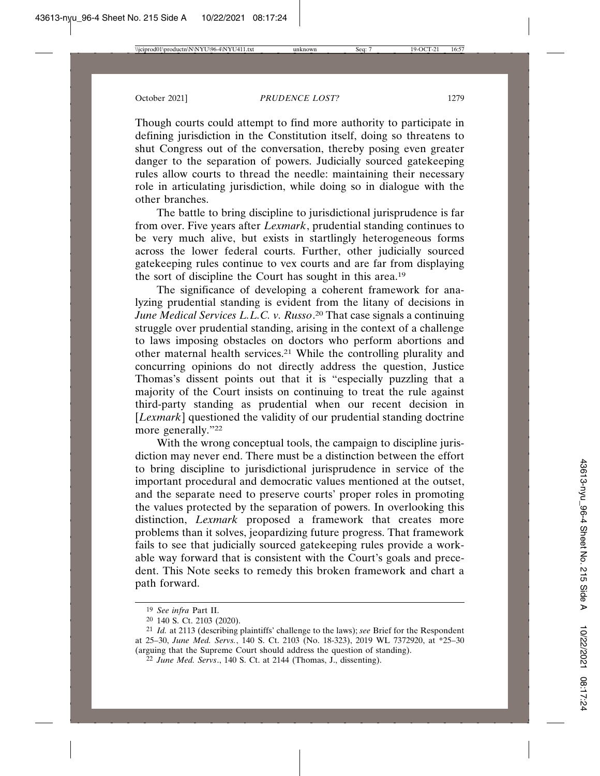Though courts could attempt to find more authority to participate in defining jurisdiction in the Constitution itself, doing so threatens to shut Congress out of the conversation, thereby posing even greater danger to the separation of powers. Judicially sourced gatekeeping rules allow courts to thread the needle: maintaining their necessary role in articulating jurisdiction, while doing so in dialogue with the other branches.

The battle to bring discipline to jurisdictional jurisprudence is far from over. Five years after *Lexmark*, prudential standing continues to be very much alive, but exists in startlingly heterogeneous forms across the lower federal courts. Further, other judicially sourced gatekeeping rules continue to vex courts and are far from displaying the sort of discipline the Court has sought in this area.19

The significance of developing a coherent framework for analyzing prudential standing is evident from the litany of decisions in *June Medical Services L.L.C. v. Russo*. 20 That case signals a continuing struggle over prudential standing, arising in the context of a challenge to laws imposing obstacles on doctors who perform abortions and other maternal health services.21 While the controlling plurality and concurring opinions do not directly address the question, Justice Thomas's dissent points out that it is "especially puzzling that a majority of the Court insists on continuing to treat the rule against third-party standing as prudential when our recent decision in [*Lexmark*] questioned the validity of our prudential standing doctrine more generally."22

With the wrong conceptual tools, the campaign to discipline jurisdiction may never end. There must be a distinction between the effort to bring discipline to jurisdictional jurisprudence in service of the important procedural and democratic values mentioned at the outset, and the separate need to preserve courts' proper roles in promoting the values protected by the separation of powers. In overlooking this distinction, *Lexmark* proposed a framework that creates more problems than it solves, jeopardizing future progress. That framework fails to see that judicially sourced gatekeeping rules provide a workable way forward that is consistent with the Court's goals and precedent. This Note seeks to remedy this broken framework and chart a path forward.

<sup>19</sup> *See infra* Part II.

<sup>20</sup> 140 S. Ct. 2103 (2020).

<sup>21</sup> *Id.* at 2113 (describing plaintiffs' challenge to the laws); *see* Brief for the Respondent at 25–30, *June Med. Servs.*, 140 S. Ct. 2103 (No. 18-323), 2019 WL 7372920, at \*25–30 (arguing that the Supreme Court should address the question of standing).

<sup>22</sup> *June Med. Servs*., 140 S. Ct. at 2144 (Thomas, J., dissenting).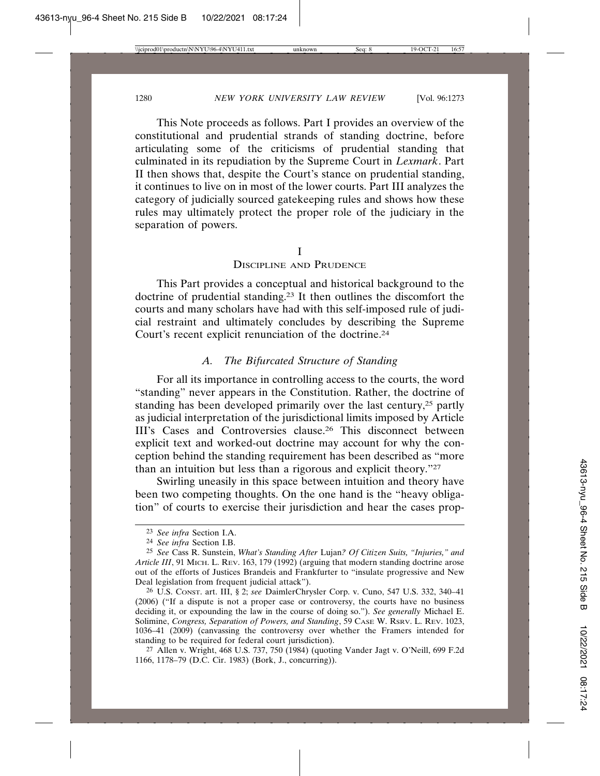This Note proceeds as follows. Part I provides an overview of the constitutional and prudential strands of standing doctrine, before articulating some of the criticisms of prudential standing that culminated in its repudiation by the Supreme Court in *Lexmark*. Part II then shows that, despite the Court's stance on prudential standing, it continues to live on in most of the lower courts. Part III analyzes the category of judicially sourced gatekeeping rules and shows how these rules may ultimately protect the proper role of the judiciary in the separation of powers.

#### I

DISCIPLINE AND PRUDENCE

This Part provides a conceptual and historical background to the doctrine of prudential standing.23 It then outlines the discomfort the courts and many scholars have had with this self-imposed rule of judicial restraint and ultimately concludes by describing the Supreme Court's recent explicit renunciation of the doctrine.24

## *A. The Bifurcated Structure of Standing*

For all its importance in controlling access to the courts, the word "standing" never appears in the Constitution. Rather, the doctrine of standing has been developed primarily over the last century,25 partly as judicial interpretation of the jurisdictional limits imposed by Article III's Cases and Controversies clause.26 This disconnect between explicit text and worked-out doctrine may account for why the conception behind the standing requirement has been described as "more than an intuition but less than a rigorous and explicit theory."27

Swirling uneasily in this space between intuition and theory have been two competing thoughts. On the one hand is the "heavy obligation" of courts to exercise their jurisdiction and hear the cases prop-

<sup>23</sup> *See infra* Section I.A.

<sup>24</sup> *See infra* Section I.B.

<sup>25</sup> *See* Cass R. Sunstein, *What's Standing After* Lujan*? Of Citizen Suits, "Injuries," and Article III*, 91 MICH. L. REV. 163, 179 (1992) (arguing that modern standing doctrine arose out of the efforts of Justices Brandeis and Frankfurter to "insulate progressive and New Deal legislation from frequent judicial attack").

<sup>26</sup> U.S. CONST. art. III, § 2; *see* DaimlerChrysler Corp. v. Cuno, 547 U.S. 332, 340–41 (2006) ("If a dispute is not a proper case or controversy, the courts have no business deciding it, or expounding the law in the course of doing so."). *See generally* Michael E. Solimine, *Congress, Separation of Powers, and Standing*, 59 CASE W. RSRV. L. REV. 1023, 1036–41 (2009) (canvassing the controversy over whether the Framers intended for standing to be required for federal court jurisdiction).

<sup>27</sup> Allen v. Wright, 468 U.S. 737, 750 (1984) (quoting Vander Jagt v. O'Neill, 699 F.2d 1166, 1178–79 (D.C. Cir. 1983) (Bork, J., concurring)).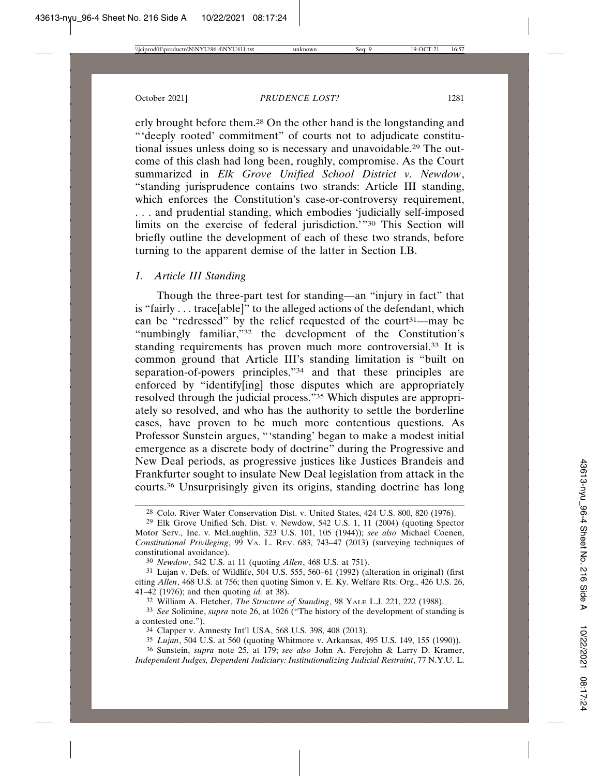erly brought before them.28 On the other hand is the longstanding and "'deeply rooted' commitment" of courts not to adjudicate constitutional issues unless doing so is necessary and unavoidable.29 The outcome of this clash had long been, roughly, compromise. As the Court summarized in *Elk Grove Unified School District v. Newdow*, "standing jurisprudence contains two strands: Article III standing, which enforces the Constitution's case-or-controversy requirement, . . . and prudential standing, which embodies 'judicially self-imposed limits on the exercise of federal jurisdiction.'"30 This Section will briefly outline the development of each of these two strands, before turning to the apparent demise of the latter in Section I.B.

## *1. Article III Standing*

Though the three-part test for standing—an "injury in fact" that is "fairly . . . trace[able]" to the alleged actions of the defendant, which can be "redressed" by the relief requested of the court<sup>31—may be</sup> "numbingly familiar,"32 the development of the Constitution's standing requirements has proven much more controversial.33 It is common ground that Article III's standing limitation is "built on separation-of-powers principles,"34 and that these principles are enforced by "identify[ing] those disputes which are appropriately resolved through the judicial process."35 Which disputes are appropriately so resolved, and who has the authority to settle the borderline cases, have proven to be much more contentious questions. As Professor Sunstein argues, "'standing' began to make a modest initial emergence as a discrete body of doctrine" during the Progressive and New Deal periods, as progressive justices like Justices Brandeis and Frankfurter sought to insulate New Deal legislation from attack in the courts.36 Unsurprisingly given its origins, standing doctrine has long

30 *Newdow*, 542 U.S. at 11 (quoting *Allen*, 468 U.S. at 751).

31 Lujan v. Defs. of Wildlife, 504 U.S. 555, 560–61 (1992) (alteration in original) (first citing *Allen*, 468 U.S. at 756; then quoting Simon v. E. Ky. Welfare Rts. Org., 426 U.S. 26, 41–42 (1976); and then quoting *id.* at 38).

32 William A. Fletcher, *The Structure of Standing*, 98 YALE L.J. 221, 222 (1988).

33 *See* Solimine, *supra* note 26, at 1026 ("The history of the development of standing is a contested one.").

34 Clapper v. Amnesty Int'l USA, 568 U.S. 398, 408 (2013).

35 *Lujan*, 504 U.S. at 560 (quoting Whitmore v. Arkansas, 495 U.S. 149, 155 (1990)).

36 Sunstein, *supra* note 25, at 179; *see also* John A. Ferejohn & Larry D. Kramer, *Independent Judges, Dependent Judiciary: Institutionalizing Judicial Restraint*, 77 N.Y.U. L.

<sup>28</sup> Colo. River Water Conservation Dist. v. United States, 424 U.S. 800, 820 (1976).

<sup>29</sup> Elk Grove Unified Sch. Dist. v. Newdow, 542 U.S. 1, 11 (2004) (quoting Spector Motor Serv., Inc. v. McLaughlin, 323 U.S. 101, 105 (1944)); *see also* Michael Coenen, *Constitutional Privileging*, 99 VA. L. REV. 683, 743–47 (2013) (surveying techniques of constitutional avoidance).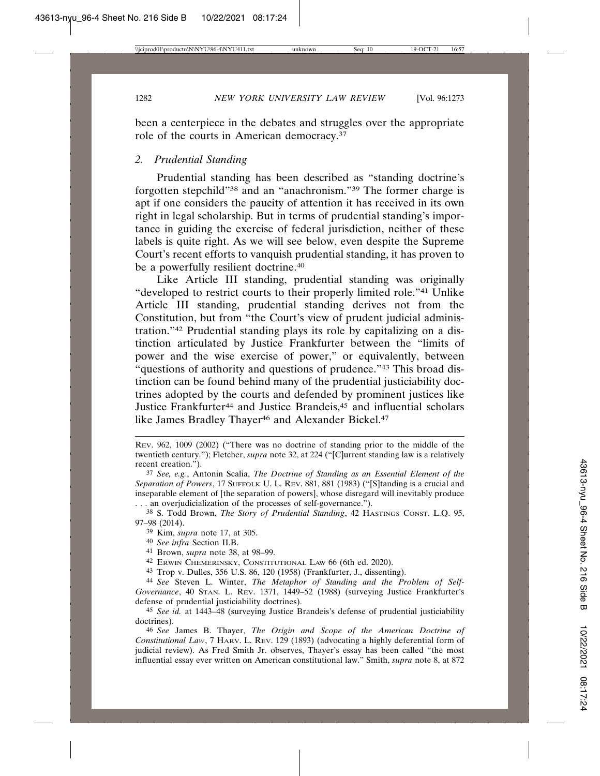been a centerpiece in the debates and struggles over the appropriate role of the courts in American democracy.37

#### *2. Prudential Standing*

Prudential standing has been described as "standing doctrine's forgotten stepchild"38 and an "anachronism."39 The former charge is apt if one considers the paucity of attention it has received in its own right in legal scholarship. But in terms of prudential standing's importance in guiding the exercise of federal jurisdiction, neither of these labels is quite right. As we will see below, even despite the Supreme Court's recent efforts to vanquish prudential standing, it has proven to be a powerfully resilient doctrine.40

Like Article III standing, prudential standing was originally "developed to restrict courts to their properly limited role."41 Unlike Article III standing, prudential standing derives not from the Constitution, but from "the Court's view of prudent judicial administration."42 Prudential standing plays its role by capitalizing on a distinction articulated by Justice Frankfurter between the "limits of power and the wise exercise of power," or equivalently, between "questions of authority and questions of prudence."<sup>43</sup> This broad distinction can be found behind many of the prudential justiciability doctrines adopted by the courts and defended by prominent justices like Justice Frankfurter<sup>44</sup> and Justice Brandeis,<sup>45</sup> and influential scholars like James Bradley Thayer<sup>46</sup> and Alexander Bickel.<sup>47</sup>

38 S. Todd Brown, *The Story of Prudential Standing*, 42 HASTINGS CONST. L.Q. 95, 97–98 (2014).

- 41 Brown, *supra* note 38, at 98–99.
- 42 ERWIN CHEMERINSKY, CONSTITUTIONAL LAW 66 (6th ed. 2020).

43 Trop v. Dulles, 356 U.S. 86, 120 (1958) (Frankfurter, J., dissenting).

44 *See* Steven L. Winter, *The Metaphor of Standing and the Problem of Self-Governance*, 40 STAN. L. REV. 1371, 1449–52 (1988) (surveying Justice Frankfurter's defense of prudential justiciability doctrines).

45 *See id.* at 1443–48 (surveying Justice Brandeis's defense of prudential justiciability doctrines).

46 *See* James B. Thayer, *The Origin and Scope of the American Doctrine of Constitutional Law*, 7 HARV. L. REV. 129 (1893) (advocating a highly deferential form of judicial review). As Fred Smith Jr. observes, Thayer's essay has been called "the most influential essay ever written on American constitutional law." Smith, *supra* note 8, at 872

REV. 962, 1009 (2002) ("There was no doctrine of standing prior to the middle of the twentieth century."); Fletcher, *supra* note 32, at 224 ("[C]urrent standing law is a relatively recent creation.").

<sup>37</sup> *See, e.g.*, Antonin Scalia, *The Doctrine of Standing as an Essential Element of the Separation of Powers*, 17 SUFFOLK U. L. REV. 881, 881 (1983) ("[S]tanding is a crucial and inseparable element of [the separation of powers], whose disregard will inevitably produce . . . an overjudicialization of the processes of self-governance.").

<sup>39</sup> Kim, *supra* note 17, at 305.

<sup>40</sup> *See infra* Section II.B.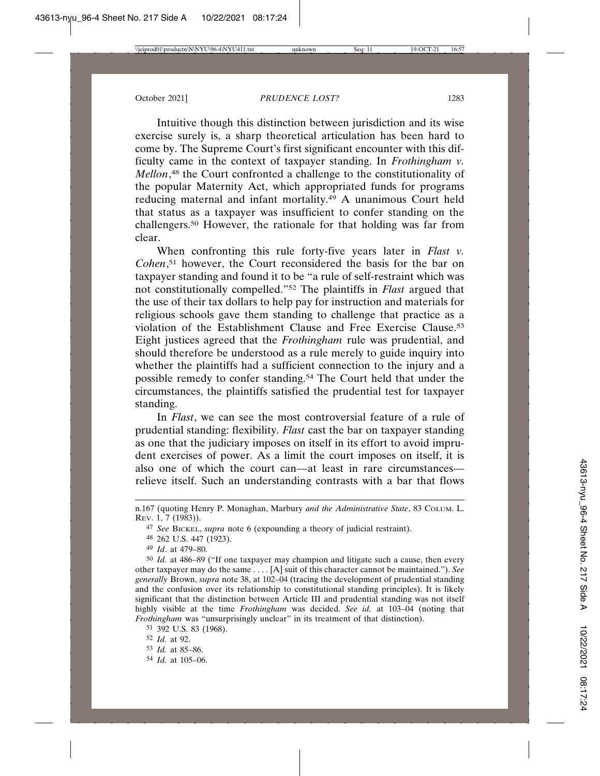Intuitive though this distinction between jurisdiction and its wise exercise surely is, a sharp theoretical articulation has been hard to come by. The Supreme Court's first significant encounter with this difficulty came in the context of taxpayer standing. In *Frothingham v. Mellon*, 48 the Court confronted a challenge to the constitutionality of the popular Maternity Act, which appropriated funds for programs reducing maternal and infant mortality.49 A unanimous Court held that status as a taxpayer was insufficient to confer standing on the challengers.50 However, the rationale for that holding was far from clear.

When confronting this rule forty-five years later in *Flast v. Cohen*, 51 however, the Court reconsidered the basis for the bar on taxpayer standing and found it to be "a rule of self-restraint which was not constitutionally compelled."52 The plaintiffs in *Flast* argued that the use of their tax dollars to help pay for instruction and materials for religious schools gave them standing to challenge that practice as a violation of the Establishment Clause and Free Exercise Clause.53 Eight justices agreed that the *Frothingham* rule was prudential, and should therefore be understood as a rule merely to guide inquiry into whether the plaintiffs had a sufficient connection to the injury and a possible remedy to confer standing.54 The Court held that under the circumstances, the plaintiffs satisfied the prudential test for taxpayer standing.

In *Flast*, we can see the most controversial feature of a rule of prudential standing: flexibility. *Flast* cast the bar on taxpayer standing as one that the judiciary imposes on itself in its effort to avoid imprudent exercises of power. As a limit the court imposes on itself, it is also one of which the court can—at least in rare circumstances relieve itself. Such an understanding contrasts with a bar that flows

- 53 *Id.* at 85–86.
- 54 *Id.* at 105–06.

n.167 (quoting Henry P. Monaghan, Marbury *and the Administrative State*, 83 COLUM. L. REV. 1, 7 (1983)).

<sup>47</sup> *See* BICKEL, *supra* note 6 (expounding a theory of judicial restraint).

<sup>48</sup> 262 U.S. 447 (1923).

<sup>49</sup> *Id*. at 479–80.

<sup>50</sup> *Id.* at 486–89 ("If one taxpayer may champion and litigate such a cause, then every other taxpayer may do the same . . . . [A] suit of this character cannot be maintained."). *See generally* Brown, *supra* note 38, at 102–04 (tracing the development of prudential standing and the confusion over its relationship to constitutional standing principles). It is likely significant that the distinction between Article III and prudential standing was not itself highly visible at the time *Frothingham* was decided. *See id.* at 103–04 (noting that *Frothingham* was "unsurprisingly unclear" in its treatment of that distinction).

<sup>51</sup> 392 U.S. 83 (1968).

<sup>52</sup> *Id.* at 92.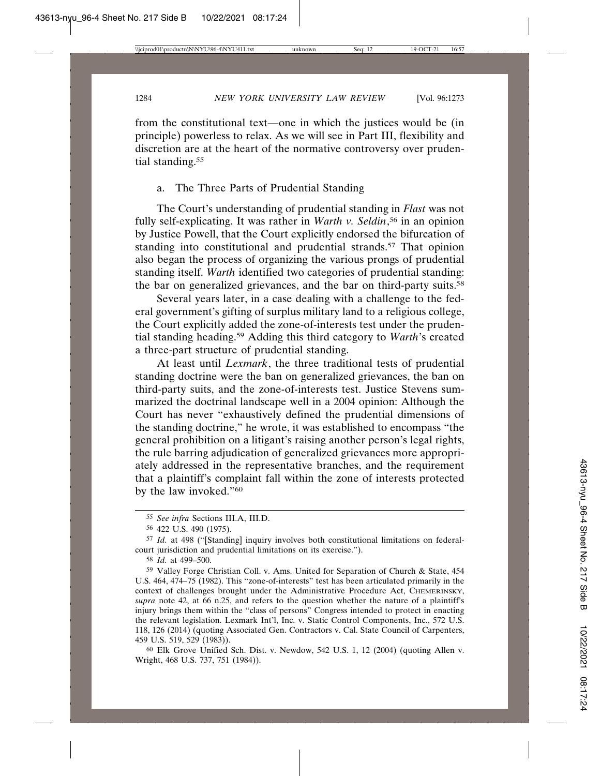from the constitutional text—one in which the justices would be (in principle) powerless to relax. As we will see in Part III, flexibility and discretion are at the heart of the normative controversy over prudential standing.<sup>55</sup>

### a. The Three Parts of Prudential Standing

The Court's understanding of prudential standing in *Flast* was not fully self-explicating. It was rather in *Warth v. Seldin*, 56 in an opinion by Justice Powell, that the Court explicitly endorsed the bifurcation of standing into constitutional and prudential strands.<sup>57</sup> That opinion also began the process of organizing the various prongs of prudential standing itself. *Warth* identified two categories of prudential standing: the bar on generalized grievances, and the bar on third-party suits.<sup>58</sup>

Several years later, in a case dealing with a challenge to the federal government's gifting of surplus military land to a religious college, the Court explicitly added the zone-of-interests test under the prudential standing heading.59 Adding this third category to *Warth*'s created a three-part structure of prudential standing.

At least until *Lexmark*, the three traditional tests of prudential standing doctrine were the ban on generalized grievances, the ban on third-party suits, and the zone-of-interests test. Justice Stevens summarized the doctrinal landscape well in a 2004 opinion: Although the Court has never "exhaustively defined the prudential dimensions of the standing doctrine," he wrote, it was established to encompass "the general prohibition on a litigant's raising another person's legal rights, the rule barring adjudication of generalized grievances more appropriately addressed in the representative branches, and the requirement that a plaintiff's complaint fall within the zone of interests protected by the law invoked."<sup>60</sup>

<sup>55</sup> *See infra* Sections III.A, III.D.

<sup>56</sup> 422 U.S. 490 (1975).

<sup>57</sup> *Id.* at 498 ("[Standing] inquiry involves both constitutional limitations on federalcourt jurisdiction and prudential limitations on its exercise.").

<sup>58</sup> *Id.* at 499–500.

<sup>59</sup> Valley Forge Christian Coll. v. Ams. United for Separation of Church & State, 454 U.S. 464, 474–75 (1982). This "zone-of-interests" test has been articulated primarily in the context of challenges brought under the Administrative Procedure Act, CHEMERINSKY, *supra* note 42, at 66 n.25, and refers to the question whether the nature of a plaintiff's injury brings them within the "class of persons" Congress intended to protect in enacting the relevant legislation. Lexmark Int'l, Inc. v. Static Control Components, Inc., 572 U.S. 118, 126 (2014) (quoting Associated Gen. Contractors v. Cal. State Council of Carpenters, 459 U.S. 519, 529 (1983)).

<sup>60</sup> Elk Grove Unified Sch. Dist. v. Newdow, 542 U.S. 1, 12 (2004) (quoting Allen v. Wright, 468 U.S. 737, 751 (1984)).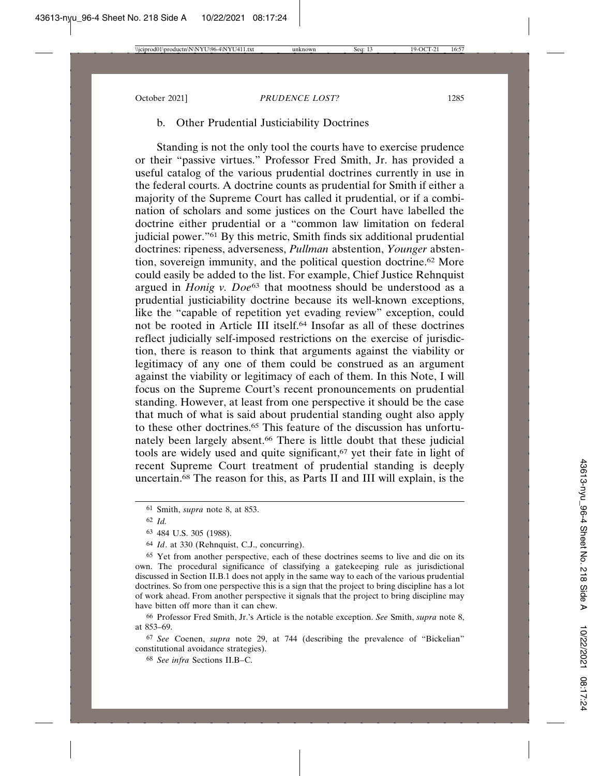## b. Other Prudential Justiciability Doctrines

Standing is not the only tool the courts have to exercise prudence or their "passive virtues." Professor Fred Smith, Jr. has provided a useful catalog of the various prudential doctrines currently in use in the federal courts. A doctrine counts as prudential for Smith if either a majority of the Supreme Court has called it prudential, or if a combination of scholars and some justices on the Court have labelled the doctrine either prudential or a "common law limitation on federal judicial power."61 By this metric, Smith finds six additional prudential doctrines: ripeness, adverseness, *Pullman* abstention, *Younger* abstention, sovereign immunity, and the political question doctrine.62 More could easily be added to the list. For example, Chief Justice Rehnquist argued in *Honig v. Doe*63 that mootness should be understood as a prudential justiciability doctrine because its well-known exceptions, like the "capable of repetition yet evading review" exception, could not be rooted in Article III itself.64 Insofar as all of these doctrines reflect judicially self-imposed restrictions on the exercise of jurisdiction, there is reason to think that arguments against the viability or legitimacy of any one of them could be construed as an argument against the viability or legitimacy of each of them. In this Note, I will focus on the Supreme Court's recent pronouncements on prudential standing. However, at least from one perspective it should be the case that much of what is said about prudential standing ought also apply to these other doctrines.65 This feature of the discussion has unfortunately been largely absent.66 There is little doubt that these judicial tools are widely used and quite significant,<sup>67</sup> yet their fate in light of recent Supreme Court treatment of prudential standing is deeply uncertain.68 The reason for this, as Parts II and III will explain, is the

66 Professor Fred Smith, Jr.'s Article is the notable exception. *See* Smith, *supra* note 8, at 853–69.

67 *See* Coenen, *supra* note 29, at 744 (describing the prevalence of "Bickelian" constitutional avoidance strategies).

68 *See infra* Sections II.B–C.

<sup>61</sup> Smith, *supra* note 8, at 853.

<sup>62</sup> *Id.*

<sup>63</sup> 484 U.S. 305 (1988).

<sup>64</sup> *Id*. at 330 (Rehnquist, C.J., concurring).

<sup>65</sup> Yet from another perspective, each of these doctrines seems to live and die on its own. The procedural significance of classifying a gatekeeping rule as jurisdictional discussed in Section II.B.1 does not apply in the same way to each of the various prudential doctrines. So from one perspective this is a sign that the project to bring discipline has a lot of work ahead. From another perspective it signals that the project to bring discipline may have bitten off more than it can chew.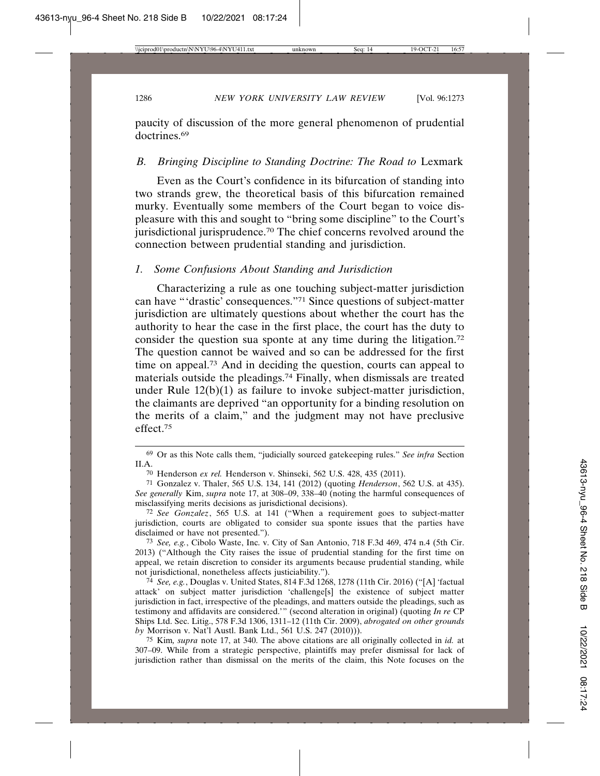paucity of discussion of the more general phenomenon of prudential doctrines<sup>69</sup>

## *B. Bringing Discipline to Standing Doctrine: The Road to* Lexmark

Even as the Court's confidence in its bifurcation of standing into two strands grew, the theoretical basis of this bifurcation remained murky. Eventually some members of the Court began to voice displeasure with this and sought to "bring some discipline" to the Court's jurisdictional jurisprudence.70 The chief concerns revolved around the connection between prudential standing and jurisdiction.

### *1. Some Confusions About Standing and Jurisdiction*

Characterizing a rule as one touching subject-matter jurisdiction can have "'drastic' consequences."71 Since questions of subject-matter jurisdiction are ultimately questions about whether the court has the authority to hear the case in the first place, the court has the duty to consider the question sua sponte at any time during the litigation.<sup>72</sup> The question cannot be waived and so can be addressed for the first time on appeal.73 And in deciding the question, courts can appeal to materials outside the pleadings.74 Finally, when dismissals are treated under Rule  $12(b)(1)$  as failure to invoke subject-matter jurisdiction, the claimants are deprived "an opportunity for a binding resolution on the merits of a claim," and the judgment may not have preclusive effect.75

75 Kim*, supra* note 17, at 340. The above citations are all originally collected in *id.* at 307–09. While from a strategic perspective, plaintiffs may prefer dismissal for lack of jurisdiction rather than dismissal on the merits of the claim, this Note focuses on the

<sup>69</sup> Or as this Note calls them, "judicially sourced gatekeeping rules." *See infra* Section II.A.

<sup>70</sup> Henderson *ex rel.* Henderson v. Shinseki, 562 U.S. 428, 435 (2011).

<sup>71</sup> Gonzalez v. Thaler, 565 U.S. 134, 141 (2012) (quoting *Henderson*, 562 U.S. at 435). *See generally* Kim, *supra* note 17, at 308–09, 338–40 (noting the harmful consequences of misclassifying merits decisions as jurisdictional decisions).

<sup>72</sup> *See Gonzalez*, 565 U.S. at 141 ("When a requirement goes to subject-matter jurisdiction, courts are obligated to consider sua sponte issues that the parties have disclaimed or have not presented.").

<sup>73</sup> *See, e.g.*, Cibolo Waste, Inc. v. City of San Antonio, 718 F.3d 469, 474 n.4 (5th Cir. 2013) ("Although the City raises the issue of prudential standing for the first time on appeal, we retain discretion to consider its arguments because prudential standing, while not jurisdictional, nonetheless affects justiciability.").

<sup>74</sup> *See, e.g.*, Douglas v. United States, 814 F.3d 1268, 1278 (11th Cir. 2016) ("[A] 'factual attack' on subject matter jurisdiction 'challenge[s] the existence of subject matter jurisdiction in fact, irrespective of the pleadings, and matters outside the pleadings, such as testimony and affidavits are considered.'" (second alteration in original) (quoting *In re* CP Ships Ltd. Sec. Litig., 578 F.3d 1306, 1311–12 (11th Cir. 2009), *abrogated on other grounds by* Morrison v. Nat'l Austl. Bank Ltd., 561 U.S. 247 (2010))).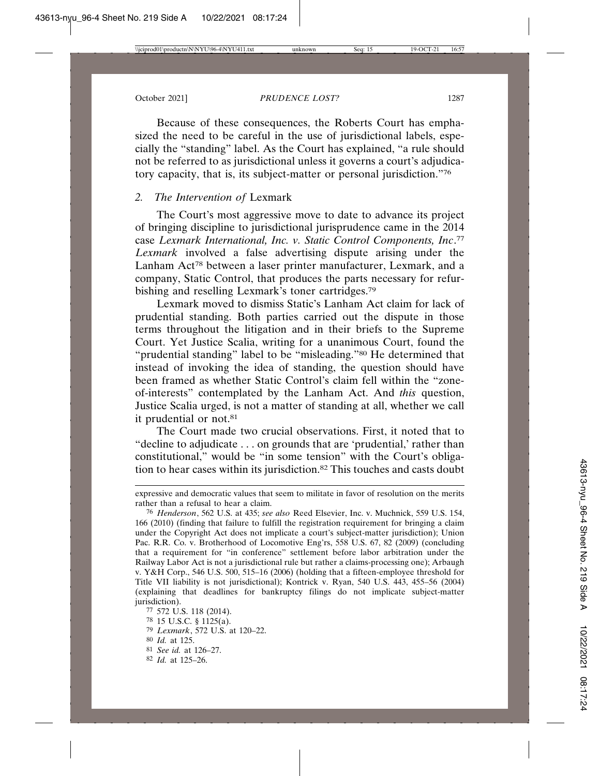Because of these consequences, the Roberts Court has emphasized the need to be careful in the use of jurisdictional labels, especially the "standing" label. As the Court has explained, "a rule should not be referred to as jurisdictional unless it governs a court's adjudicatory capacity, that is, its subject-matter or personal jurisdiction."76

## *2. The Intervention of* Lexmark

The Court's most aggressive move to date to advance its project of bringing discipline to jurisdictional jurisprudence came in the 2014 case *Lexmark International, Inc. v. Static Control Components, Inc*. 77 *Lexmark* involved a false advertising dispute arising under the Lanham Act<sup>78</sup> between a laser printer manufacturer, Lexmark, and a company, Static Control, that produces the parts necessary for refurbishing and reselling Lexmark's toner cartridges.<sup>79</sup>

Lexmark moved to dismiss Static's Lanham Act claim for lack of prudential standing. Both parties carried out the dispute in those terms throughout the litigation and in their briefs to the Supreme Court. Yet Justice Scalia, writing for a unanimous Court, found the "prudential standing" label to be "misleading."<sup>80</sup> He determined that instead of invoking the idea of standing, the question should have been framed as whether Static Control's claim fell within the "zoneof-interests" contemplated by the Lanham Act. And *this* question, Justice Scalia urged, is not a matter of standing at all, whether we call it prudential or not.<sup>81</sup>

The Court made two crucial observations. First, it noted that to "decline to adjudicate . . . on grounds that are 'prudential,' rather than constitutional," would be "in some tension" with the Court's obligation to hear cases within its jurisdiction.82 This touches and casts doubt

79 *Lexmark*, 572 U.S. at 120–22.

- 81 *See id.* at 126–27.
- 82 *Id.* at 125–26.

expressive and democratic values that seem to militate in favor of resolution on the merits rather than a refusal to hear a claim.

<sup>76</sup> *Henderson*, 562 U.S. at 435; *see also* Reed Elsevier, Inc. v. Muchnick, 559 U.S. 154, 166 (2010) (finding that failure to fulfill the registration requirement for bringing a claim under the Copyright Act does not implicate a court's subject-matter jurisdiction); Union Pac. R.R. Co. v. Brotherhood of Locomotive Eng'rs, 558 U.S. 67, 82 (2009) (concluding that a requirement for "in conference" settlement before labor arbitration under the Railway Labor Act is not a jurisdictional rule but rather a claims-processing one); Arbaugh v. Y&H Corp., 546 U.S. 500, 515–16 (2006) (holding that a fifteen-employee threshold for Title VII liability is not jurisdictional); Kontrick v. Ryan, 540 U.S. 443, 455–56 (2004) (explaining that deadlines for bankruptcy filings do not implicate subject-matter jurisdiction).

<sup>77</sup> 572 U.S. 118 (2014).

<sup>78</sup> 15 U.S.C. § 1125(a).

<sup>80</sup> *Id.* at 125.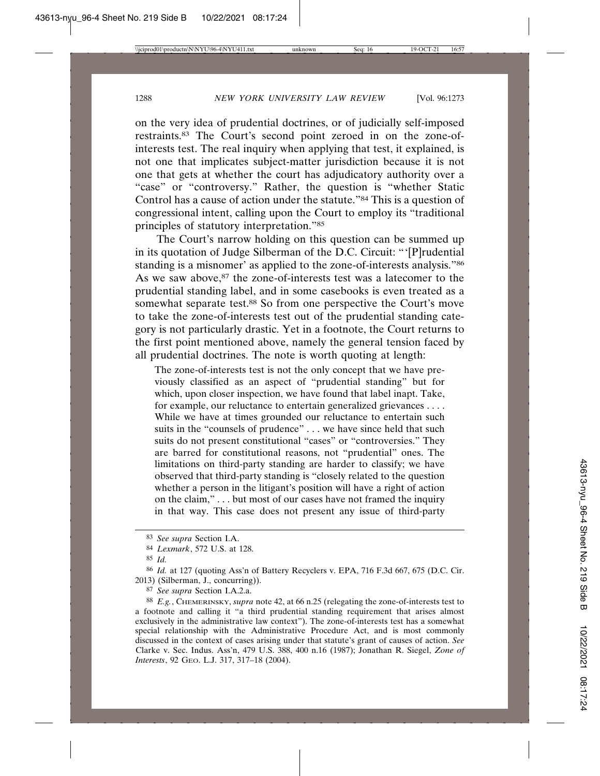on the very idea of prudential doctrines, or of judicially self-imposed restraints.83 The Court's second point zeroed in on the zone-ofinterests test. The real inquiry when applying that test, it explained, is not one that implicates subject-matter jurisdiction because it is not one that gets at whether the court has adjudicatory authority over a "case" or "controversy." Rather, the question is "whether Static Control has a cause of action under the statute."84 This is a question of congressional intent, calling upon the Court to employ its "traditional principles of statutory interpretation."85

The Court's narrow holding on this question can be summed up in its quotation of Judge Silberman of the D.C. Circuit: "'[P]rudential standing is a misnomer' as applied to the zone-of-interests analysis."86 As we saw above, $87$  the zone-of-interests test was a latecomer to the prudential standing label, and in some casebooks is even treated as a somewhat separate test.<sup>88</sup> So from one perspective the Court's move to take the zone-of-interests test out of the prudential standing category is not particularly drastic. Yet in a footnote, the Court returns to the first point mentioned above, namely the general tension faced by all prudential doctrines. The note is worth quoting at length:

The zone-of-interests test is not the only concept that we have previously classified as an aspect of "prudential standing" but for which, upon closer inspection, we have found that label inapt. Take, for example, our reluctance to entertain generalized grievances . . . . While we have at times grounded our reluctance to entertain such suits in the "counsels of prudence" . . . we have since held that such suits do not present constitutional "cases" or "controversies." They are barred for constitutional reasons, not "prudential" ones. The limitations on third-party standing are harder to classify; we have observed that third-party standing is "closely related to the question whether a person in the litigant's position will have a right of action on the claim," . . . but most of our cases have not framed the inquiry in that way. This case does not present any issue of third-party

<sup>83</sup> *See supra* Section I.A.

<sup>84</sup> *Lexmark*, 572 U.S. at 128.

<sup>85</sup> *Id.*

<sup>86</sup> *Id.* at 127 (quoting Ass'n of Battery Recyclers v. EPA, 716 F.3d 667, 675 (D.C. Cir. 2013) (Silberman, J., concurring)).

<sup>87</sup> *See supra* Section I.A.2.a.

<sup>88</sup> *E.g.*, CHEMERINSKY, *supra* note 42, at 66 n.25 (relegating the zone-of-interests test to a footnote and calling it "a third prudential standing requirement that arises almost exclusively in the administrative law context"). The zone-of-interests test has a somewhat special relationship with the Administrative Procedure Act, and is most commonly discussed in the context of cases arising under that statute's grant of causes of action. *See* Clarke v. Sec. Indus. Ass'n, 479 U.S. 388, 400 n.16 (1987); Jonathan R. Siegel, *Zone of Interests*, 92 GEO. L.J. 317, 317–18 (2004).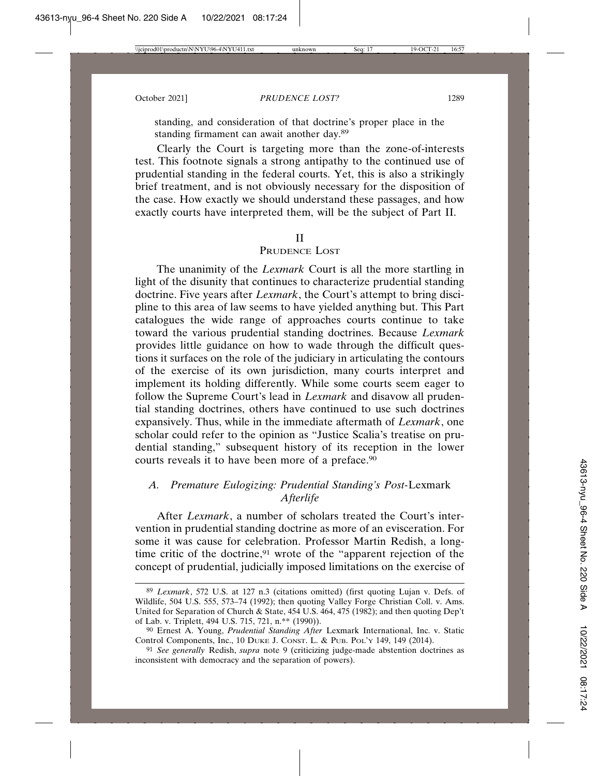standing, and consideration of that doctrine's proper place in the standing firmament can await another day.89

Clearly the Court is targeting more than the zone-of-interests test. This footnote signals a strong antipathy to the continued use of prudential standing in the federal courts. Yet, this is also a strikingly brief treatment, and is not obviously necessary for the disposition of the case. How exactly we should understand these passages, and how exactly courts have interpreted them, will be the subject of Part II.

#### II

## PRUDENCE LOST

The unanimity of the *Lexmark* Court is all the more startling in light of the disunity that continues to characterize prudential standing doctrine. Five years after *Lexmark*, the Court's attempt to bring discipline to this area of law seems to have yielded anything but. This Part catalogues the wide range of approaches courts continue to take toward the various prudential standing doctrines. Because *Lexmark* provides little guidance on how to wade through the difficult questions it surfaces on the role of the judiciary in articulating the contours of the exercise of its own jurisdiction, many courts interpret and implement its holding differently. While some courts seem eager to follow the Supreme Court's lead in *Lexmark* and disavow all prudential standing doctrines, others have continued to use such doctrines expansively. Thus, while in the immediate aftermath of *Lexmark*, one scholar could refer to the opinion as "Justice Scalia's treatise on prudential standing," subsequent history of its reception in the lower courts reveals it to have been more of a preface.<sup>90</sup>

## *A. Premature Eulogizing: Prudential Standing's Post-*Lexmark *Afterlife*

After *Lexmark*, a number of scholars treated the Court's intervention in prudential standing doctrine as more of an evisceration. For some it was cause for celebration. Professor Martin Redish, a longtime critic of the doctrine,<sup>91</sup> wrote of the "apparent rejection of the concept of prudential, judicially imposed limitations on the exercise of

<sup>89</sup> *Lexmark*, 572 U.S. at 127 n.3 (citations omitted) (first quoting Lujan v. Defs. of Wildlife, 504 U.S. 555, 573–74 (1992); then quoting Valley Forge Christian Coll. v. Ams. United for Separation of Church & State, 454 U.S. 464, 475 (1982); and then quoting Dep't of Lab. v. Triplett, 494 U.S. 715, 721, n.\*\* (1990)).

<sup>90</sup> Ernest A. Young, *Prudential Standing After* Lexmark International, Inc. v. Static Control Components, Inc., 10 DUKE J. CONST. L. & PUB. POL'Y 149, 149 (2014).

<sup>91</sup> *See generally* Redish, *supra* note 9 (criticizing judge-made abstention doctrines as inconsistent with democracy and the separation of powers).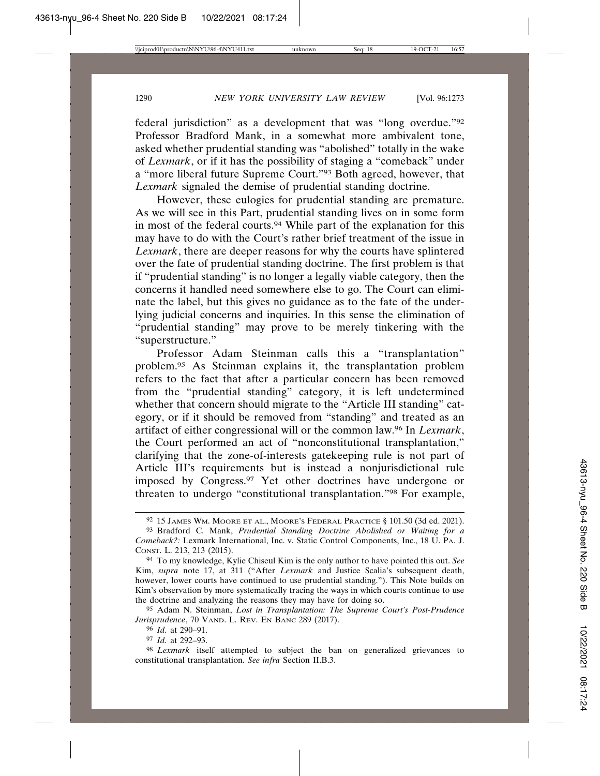federal jurisdiction" as a development that was "long overdue."92 Professor Bradford Mank, in a somewhat more ambivalent tone, asked whether prudential standing was "abolished" totally in the wake of *Lexmark*, or if it has the possibility of staging a "comeback" under a "more liberal future Supreme Court."93 Both agreed, however, that *Lexmark* signaled the demise of prudential standing doctrine.

However, these eulogies for prudential standing are premature. As we will see in this Part, prudential standing lives on in some form in most of the federal courts.94 While part of the explanation for this may have to do with the Court's rather brief treatment of the issue in *Lexmark*, there are deeper reasons for why the courts have splintered over the fate of prudential standing doctrine. The first problem is that if "prudential standing" is no longer a legally viable category, then the concerns it handled need somewhere else to go. The Court can eliminate the label, but this gives no guidance as to the fate of the underlying judicial concerns and inquiries. In this sense the elimination of "prudential standing" may prove to be merely tinkering with the "superstructure."

Professor Adam Steinman calls this a "transplantation" problem.95 As Steinman explains it, the transplantation problem refers to the fact that after a particular concern has been removed from the "prudential standing" category, it is left undetermined whether that concern should migrate to the "Article III standing" category, or if it should be removed from "standing" and treated as an artifact of either congressional will or the common law.96 In *Lexmark*, the Court performed an act of "nonconstitutional transplantation," clarifying that the zone-of-interests gatekeeping rule is not part of Article III's requirements but is instead a nonjurisdictional rule imposed by Congress.97 Yet other doctrines have undergone or threaten to undergo "constitutional transplantation."98 For example,

<sup>92</sup> 15 JAMES WM. MOORE ET AL., MOORE'S FEDERAL PRACTICE § 101.50 (3d ed. 2021).

<sup>93</sup> Bradford C. Mank, *Prudential Standing Doctrine Abolished or Waiting for a Comeback?:* Lexmark International, Inc. v. Static Control Components, Inc., 18 U. PA. J. CONST. L. 213, 213 (2015).

<sup>94</sup> To my knowledge, Kylie Chiseul Kim is the only author to have pointed this out. *See* Kim, *supra* note 17, at 311 ("After *Lexmark* and Justice Scalia's subsequent death, however, lower courts have continued to use prudential standing."). This Note builds on Kim's observation by more systematically tracing the ways in which courts continue to use the doctrine and analyzing the reasons they may have for doing so.

<sup>95</sup> Adam N. Steinman, *Lost in Transplantation: The Supreme Court's Post-Prudence Jurisprudence*, 70 VAND. L. REV. EN BANC 289 (2017).

<sup>96</sup> *Id.* at 290–91.

<sup>97</sup> *Id.* at 292–93.

<sup>98</sup> *Lexmark* itself attempted to subject the ban on generalized grievances to constitutional transplantation. *See infra* Section II.B.3.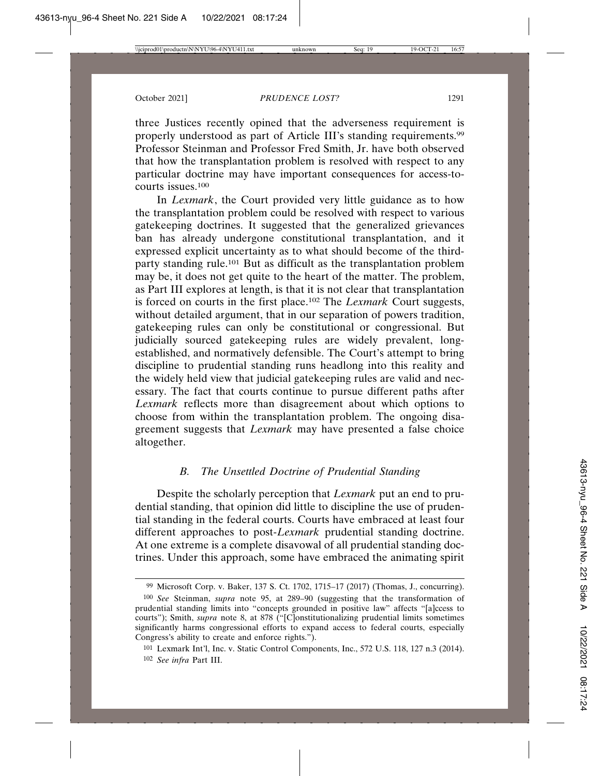three Justices recently opined that the adverseness requirement is properly understood as part of Article III's standing requirements.99 Professor Steinman and Professor Fred Smith, Jr. have both observed that how the transplantation problem is resolved with respect to any particular doctrine may have important consequences for access-tocourts issues.<sup>100</sup>

In *Lexmark*, the Court provided very little guidance as to how the transplantation problem could be resolved with respect to various gatekeeping doctrines. It suggested that the generalized grievances ban has already undergone constitutional transplantation, and it expressed explicit uncertainty as to what should become of the thirdparty standing rule.101 But as difficult as the transplantation problem may be, it does not get quite to the heart of the matter. The problem, as Part III explores at length, is that it is not clear that transplantation is forced on courts in the first place.102 The *Lexmark* Court suggests, without detailed argument, that in our separation of powers tradition, gatekeeping rules can only be constitutional or congressional. But judicially sourced gatekeeping rules are widely prevalent, longestablished, and normatively defensible. The Court's attempt to bring discipline to prudential standing runs headlong into this reality and the widely held view that judicial gatekeeping rules are valid and necessary. The fact that courts continue to pursue different paths after *Lexmark* reflects more than disagreement about which options to choose from within the transplantation problem. The ongoing disagreement suggests that *Lexmark* may have presented a false choice altogether.

## *B. The Unsettled Doctrine of Prudential Standing*

Despite the scholarly perception that *Lexmark* put an end to prudential standing, that opinion did little to discipline the use of prudential standing in the federal courts. Courts have embraced at least four different approaches to post-*Lexmark* prudential standing doctrine. At one extreme is a complete disavowal of all prudential standing doctrines. Under this approach, some have embraced the animating spirit

<sup>99</sup> Microsoft Corp. v. Baker, 137 S. Ct. 1702, 1715–17 (2017) (Thomas, J., concurring). 100 *See* Steinman, *supra* note 95, at 289–90 (suggesting that the transformation of

prudential standing limits into "concepts grounded in positive law" affects "[a]ccess to courts"); Smith, *supra* note 8, at 878 ("[C]onstitutionalizing prudential limits sometimes significantly harms congressional efforts to expand access to federal courts, especially Congress's ability to create and enforce rights.").

<sup>101</sup> Lexmark Int'l, Inc. v. Static Control Components, Inc., 572 U.S. 118, 127 n.3 (2014). 102 *See infra* Part III.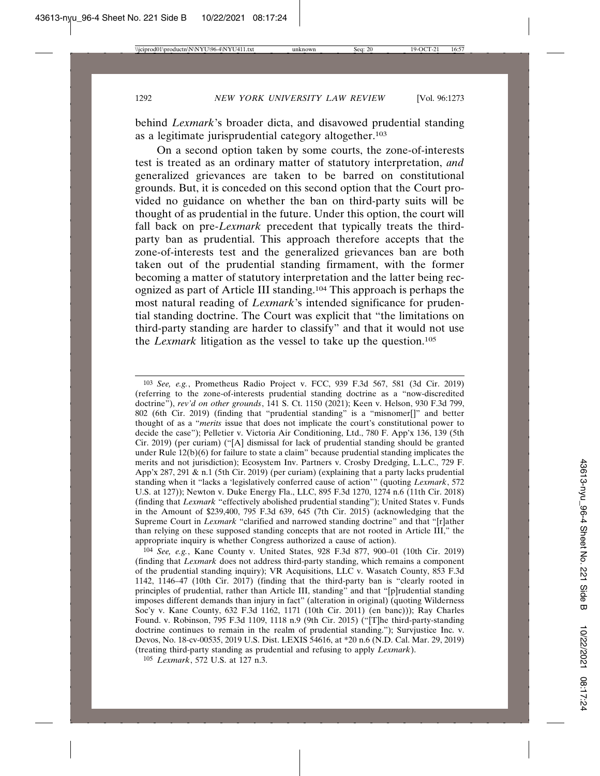behind *Lexmark*'s broader dicta, and disavowed prudential standing as a legitimate jurisprudential category altogether.103

On a second option taken by some courts, the zone-of-interests test is treated as an ordinary matter of statutory interpretation, *and* generalized grievances are taken to be barred on constitutional grounds. But, it is conceded on this second option that the Court provided no guidance on whether the ban on third-party suits will be thought of as prudential in the future. Under this option, the court will fall back on pre-*Lexmark* precedent that typically treats the thirdparty ban as prudential. This approach therefore accepts that the zone-of-interests test and the generalized grievances ban are both taken out of the prudential standing firmament, with the former becoming a matter of statutory interpretation and the latter being recognized as part of Article III standing.104 This approach is perhaps the most natural reading of *Lexmark*'s intended significance for prudential standing doctrine. The Court was explicit that "the limitations on third-party standing are harder to classify" and that it would not use the *Lexmark* litigation as the vessel to take up the question.105

<sup>103</sup> *See, e.g.*, Prometheus Radio Project v. FCC, 939 F.3d 567, 581 (3d Cir. 2019) (referring to the zone-of-interests prudential standing doctrine as a "now-discredited doctrine"), *rev'd on other grounds*, 141 S. Ct. 1150 (2021); Keen v. Helson, 930 F.3d 799, 802 (6th Cir. 2019) (finding that "prudential standing" is a "misnomer[]" and better thought of as a "*merits* issue that does not implicate the court's constitutional power to decide the case"); Pelletier v. Victoria Air Conditioning, Ltd., 780 F. App'x 136, 139 (5th Cir. 2019) (per curiam) ("[A] dismissal for lack of prudential standing should be granted under Rule  $12(b)(6)$  for failure to state a claim" because prudential standing implicates the merits and not jurisdiction); Ecosystem Inv. Partners v. Crosby Dredging, L.L.C., 729 F. App'x 287, 291 & n.1 (5th Cir. 2019) (per curiam) (explaining that a party lacks prudential standing when it "lacks a 'legislatively conferred cause of action'" (quoting *Lexmark*, 572 U.S. at 127)); Newton v. Duke Energy Fla., LLC, 895 F.3d 1270, 1274 n.6 (11th Cir. 2018) (finding that *Lexmark* "effectively abolished prudential standing"); United States v. Funds in the Amount of \$239,400, 795 F.3d 639, 645 (7th Cir. 2015) (acknowledging that the Supreme Court in *Lexmark* "clarified and narrowed standing doctrine" and that "[r]ather than relying on these supposed standing concepts that are not rooted in Article III," the appropriate inquiry is whether Congress authorized a cause of action).

<sup>104</sup> *See, e.g.*, Kane County v. United States, 928 F.3d 877, 900–01 (10th Cir. 2019) (finding that *Lexmark* does not address third-party standing, which remains a component of the prudential standing inquiry); VR Acquisitions, LLC v. Wasatch County, 853 F.3d 1142, 1146–47 (10th Cir. 2017) (finding that the third-party ban is "clearly rooted in principles of prudential, rather than Article III, standing" and that "[p]rudential standing imposes different demands than injury in fact" (alteration in original) (quoting Wilderness Soc'y v. Kane County, 632 F.3d 1162, 1171 (10th Cir. 2011) (en banc))); Ray Charles Found. v. Robinson, 795 F.3d 1109, 1118 n.9 (9th Cir. 2015) ("[T]he third-party-standing doctrine continues to remain in the realm of prudential standing."); Survjustice Inc. v. Devos, No. 18-cv-00535, 2019 U.S. Dist. LEXIS 54616, at \*20 n.6 (N.D. Cal. Mar. 29, 2019) (treating third-party standing as prudential and refusing to apply *Lexmark*).

<sup>105</sup> *Lexmark*, 572 U.S. at 127 n.3.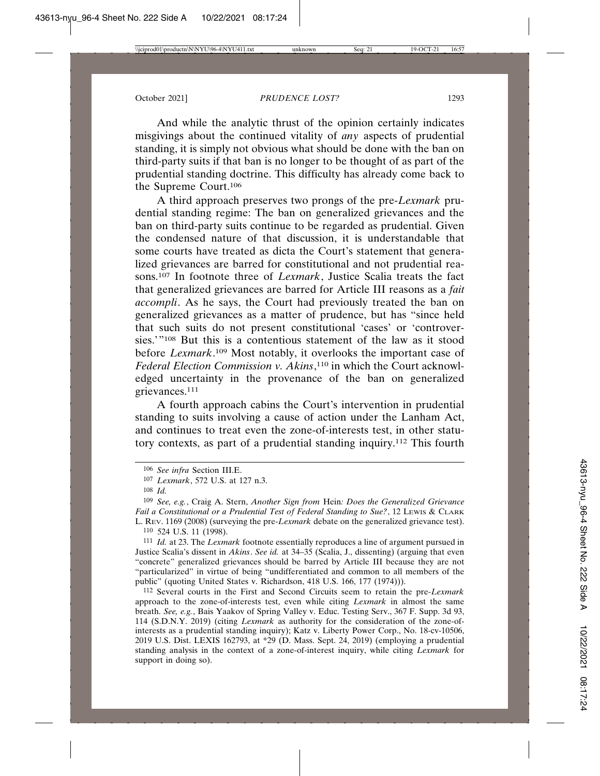And while the analytic thrust of the opinion certainly indicates misgivings about the continued vitality of *any* aspects of prudential standing, it is simply not obvious what should be done with the ban on third-party suits if that ban is no longer to be thought of as part of the prudential standing doctrine. This difficulty has already come back to the Supreme Court.106

A third approach preserves two prongs of the pre-*Lexmark* prudential standing regime: The ban on generalized grievances and the ban on third-party suits continue to be regarded as prudential. Given the condensed nature of that discussion, it is understandable that some courts have treated as dicta the Court's statement that generalized grievances are barred for constitutional and not prudential reasons.107 In footnote three of *Lexmark*, Justice Scalia treats the fact that generalized grievances are barred for Article III reasons as a *fait accompli*. As he says, the Court had previously treated the ban on generalized grievances as a matter of prudence, but has "since held that such suits do not present constitutional 'cases' or 'controversies.'"108 But this is a contentious statement of the law as it stood before *Lexmark*. 109 Most notably, it overlooks the important case of *Federal Election Commission v. Akins*, 110 in which the Court acknowledged uncertainty in the provenance of the ban on generalized grievances.111

A fourth approach cabins the Court's intervention in prudential standing to suits involving a cause of action under the Lanham Act, and continues to treat even the zone-of-interests test, in other statutory contexts, as part of a prudential standing inquiry.112 This fourth

111 *Id.* at 23. The *Lexmark* footnote essentially reproduces a line of argument pursued in Justice Scalia's dissent in *Akins*. *See id.* at 34–35 (Scalia, J., dissenting) (arguing that even "concrete" generalized grievances should be barred by Article III because they are not "particularized" in virtue of being "undifferentiated and common to all members of the public" (quoting United States v. Richardson, 418 U.S. 166, 177 (1974))).

112 Several courts in the First and Second Circuits seem to retain the pre-*Lexmark* approach to the zone-of-interests test, even while citing *Lexmark* in almost the same breath. *See, e.g.*, Bais Yaakov of Spring Valley v. Educ. Testing Serv., 367 F. Supp. 3d 93, 114 (S.D.N.Y. 2019) (citing *Lexmark* as authority for the consideration of the zone-ofinterests as a prudential standing inquiry); Katz v. Liberty Power Corp., No. 18-cv-10506, 2019 U.S. Dist. LEXIS 162793, at \*29 (D. Mass. Sept. 24, 2019) (employing a prudential standing analysis in the context of a zone-of-interest inquiry, while citing *Lexmark* for support in doing so).

<sup>106</sup> *See infra* Section III.E.

<sup>107</sup> *Lexmark*, 572 U.S. at 127 n.3.

<sup>108</sup> *Id.*

<sup>109</sup> *See, e.g.*, Craig A. Stern, *Another Sign from* Hein*: Does the Generalized Grievance Fail a Constitutional or a Prudential Test of Federal Standing to Sue?*, 12 LEWIS & CLARK L. REV. 1169 (2008) (surveying the pre-*Lexmark* debate on the generalized grievance test). 110 524 U.S. 11 (1998).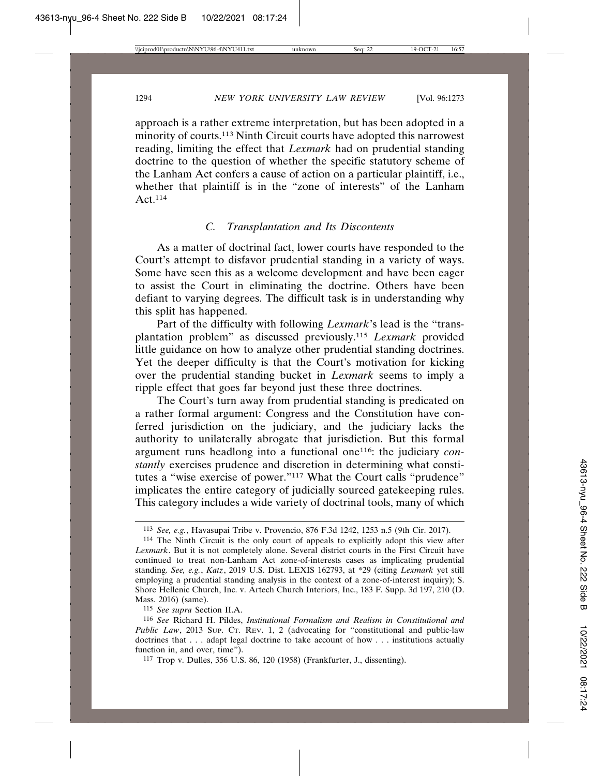approach is a rather extreme interpretation, but has been adopted in a minority of courts.<sup>113</sup> Ninth Circuit courts have adopted this narrowest reading, limiting the effect that *Lexmark* had on prudential standing doctrine to the question of whether the specific statutory scheme of the Lanham Act confers a cause of action on a particular plaintiff, i.e., whether that plaintiff is in the "zone of interests" of the Lanham Act.114

### *C. Transplantation and Its Discontents*

As a matter of doctrinal fact, lower courts have responded to the Court's attempt to disfavor prudential standing in a variety of ways. Some have seen this as a welcome development and have been eager to assist the Court in eliminating the doctrine. Others have been defiant to varying degrees. The difficult task is in understanding why this split has happened.

Part of the difficulty with following *Lexmark*'s lead is the "transplantation problem" as discussed previously.115 *Lexmark* provided little guidance on how to analyze other prudential standing doctrines. Yet the deeper difficulty is that the Court's motivation for kicking over the prudential standing bucket in *Lexmark* seems to imply a ripple effect that goes far beyond just these three doctrines.

The Court's turn away from prudential standing is predicated on a rather formal argument: Congress and the Constitution have conferred jurisdiction on the judiciary, and the judiciary lacks the authority to unilaterally abrogate that jurisdiction. But this formal argument runs headlong into a functional one116: the judiciary *constantly* exercises prudence and discretion in determining what constitutes a "wise exercise of power."117 What the Court calls "prudence" implicates the entire category of judicially sourced gatekeeping rules. This category includes a wide variety of doctrinal tools, many of which

115 *See supra* Section II.A.

<sup>113</sup> *See, e.g.*, Havasupai Tribe v. Provencio, 876 F.3d 1242, 1253 n.5 (9th Cir. 2017).

<sup>114</sup> The Ninth Circuit is the only court of appeals to explicitly adopt this view after *Lexmark*. But it is not completely alone. Several district courts in the First Circuit have continued to treat non-Lanham Act zone-of-interests cases as implicating prudential standing. *See, e.g.*, *Katz*, 2019 U.S. Dist. LEXIS 162793, at \*29 (citing *Lexmark* yet still employing a prudential standing analysis in the context of a zone-of-interest inquiry); S. Shore Hellenic Church, Inc. v. Artech Church Interiors, Inc., 183 F. Supp. 3d 197, 210 (D. Mass. 2016) (same).

<sup>116</sup> *See* Richard H. Pildes, *Institutional Formalism and Realism in Constitutional and Public Law*, 2013 SUP. CT. REV. 1, 2 (advocating for "constitutional and public-law doctrines that . . . adapt legal doctrine to take account of how . . . institutions actually function in, and over, time").

<sup>117</sup> Trop v. Dulles, 356 U.S. 86, 120 (1958) (Frankfurter, J., dissenting).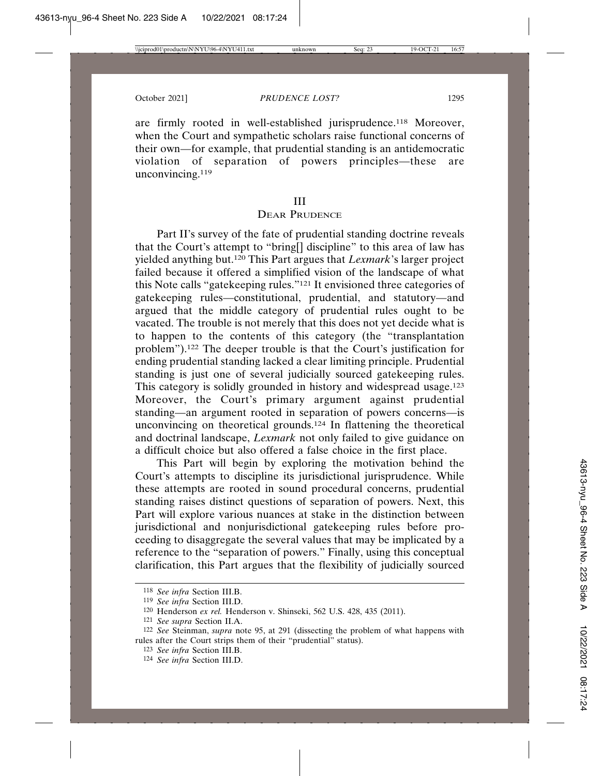are firmly rooted in well-established jurisprudence.118 Moreover, when the Court and sympathetic scholars raise functional concerns of their own—for example, that prudential standing is an antidemocratic<br>violation of separation of powers principles—these are of separation of powers principles—these are unconvincing.119

#### III

## DEAR PRUDENCE

Part II's survey of the fate of prudential standing doctrine reveals that the Court's attempt to "bring[] discipline" to this area of law has yielded anything but.120 This Part argues that *Lexmark*'s larger project failed because it offered a simplified vision of the landscape of what this Note calls "gatekeeping rules."121 It envisioned three categories of gatekeeping rules—constitutional, prudential, and statutory—and argued that the middle category of prudential rules ought to be vacated. The trouble is not merely that this does not yet decide what is to happen to the contents of this category (the "transplantation problem").122 The deeper trouble is that the Court's justification for ending prudential standing lacked a clear limiting principle. Prudential standing is just one of several judicially sourced gatekeeping rules. This category is solidly grounded in history and widespread usage.<sup>123</sup> Moreover, the Court's primary argument against prudential standing—an argument rooted in separation of powers concerns—is unconvincing on theoretical grounds.<sup>124</sup> In flattening the theoretical and doctrinal landscape, *Lexmark* not only failed to give guidance on a difficult choice but also offered a false choice in the first place.

This Part will begin by exploring the motivation behind the Court's attempts to discipline its jurisdictional jurisprudence. While these attempts are rooted in sound procedural concerns, prudential standing raises distinct questions of separation of powers. Next, this Part will explore various nuances at stake in the distinction between jurisdictional and nonjurisdictional gatekeeping rules before proceeding to disaggregate the several values that may be implicated by a reference to the "separation of powers." Finally, using this conceptual clarification, this Part argues that the flexibility of judicially sourced

<sup>118</sup> *See infra* Section III.B.

<sup>119</sup> *See infra* Section III.D.

<sup>120</sup> Henderson *ex rel.* Henderson v. Shinseki, 562 U.S. 428, 435 (2011).

<sup>121</sup> *See supra* Section II.A.

<sup>122</sup> *See* Steinman, *supra* note 95, at 291 (dissecting the problem of what happens with rules after the Court strips them of their "prudential" status).

<sup>123</sup> *See infra* Section III.B.

<sup>124</sup> *See infra* Section III.D.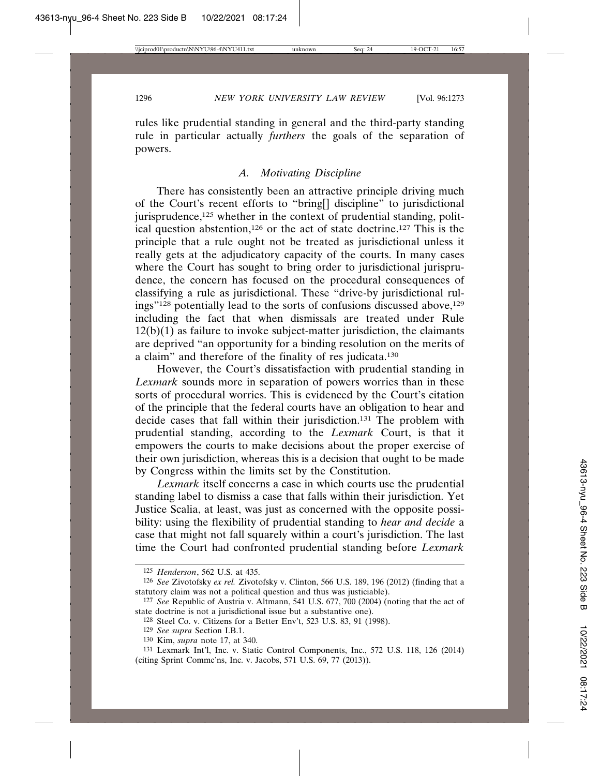rules like prudential standing in general and the third-party standing rule in particular actually *furthers* the goals of the separation of powers.

## *A. Motivating Discipline*

There has consistently been an attractive principle driving much of the Court's recent efforts to "bring[] discipline" to jurisdictional jurisprudence, $125$  whether in the context of prudential standing, political question abstention,126 or the act of state doctrine.127 This is the principle that a rule ought not be treated as jurisdictional unless it really gets at the adjudicatory capacity of the courts. In many cases where the Court has sought to bring order to jurisdictional jurisprudence, the concern has focused on the procedural consequences of classifying a rule as jurisdictional. These "drive-by jurisdictional rulings"<sup>128</sup> potentially lead to the sorts of confusions discussed above,<sup>129</sup> including the fact that when dismissals are treated under Rule  $12(b)(1)$  as failure to invoke subject-matter jurisdiction, the claimants are deprived "an opportunity for a binding resolution on the merits of a claim" and therefore of the finality of res judicata.130

However, the Court's dissatisfaction with prudential standing in *Lexmark* sounds more in separation of powers worries than in these sorts of procedural worries. This is evidenced by the Court's citation of the principle that the federal courts have an obligation to hear and decide cases that fall within their jurisdiction.131 The problem with prudential standing, according to the *Lexmark* Court, is that it empowers the courts to make decisions about the proper exercise of their own jurisdiction, whereas this is a decision that ought to be made by Congress within the limits set by the Constitution.

*Lexmark* itself concerns a case in which courts use the prudential standing label to dismiss a case that falls within their jurisdiction. Yet Justice Scalia, at least, was just as concerned with the opposite possibility: using the flexibility of prudential standing to *hear and decide* a case that might not fall squarely within a court's jurisdiction. The last time the Court had confronted prudential standing before *Lexmark*

<sup>125</sup> *Henderson*, 562 U.S. at 435.

<sup>126</sup> *See* Zivotofsky *ex rel.* Zivotofsky v. Clinton, 566 U.S. 189, 196 (2012) (finding that a statutory claim was not a political question and thus was justiciable).

<sup>127</sup> *See* Republic of Austria v. Altmann, 541 U.S. 677, 700 (2004) (noting that the act of state doctrine is not a jurisdictional issue but a substantive one).

<sup>128</sup> Steel Co. v. Citizens for a Better Env't, 523 U.S. 83, 91 (1998).

<sup>129</sup> *See supra* Section I.B.1.

<sup>130</sup> Kim, *supra* note 17, at 340.

<sup>131</sup> Lexmark Int'l, Inc. v. Static Control Components, Inc., 572 U.S. 118, 126 (2014) (citing Sprint Commc'ns, Inc. v. Jacobs, 571 U.S. 69, 77 (2013)).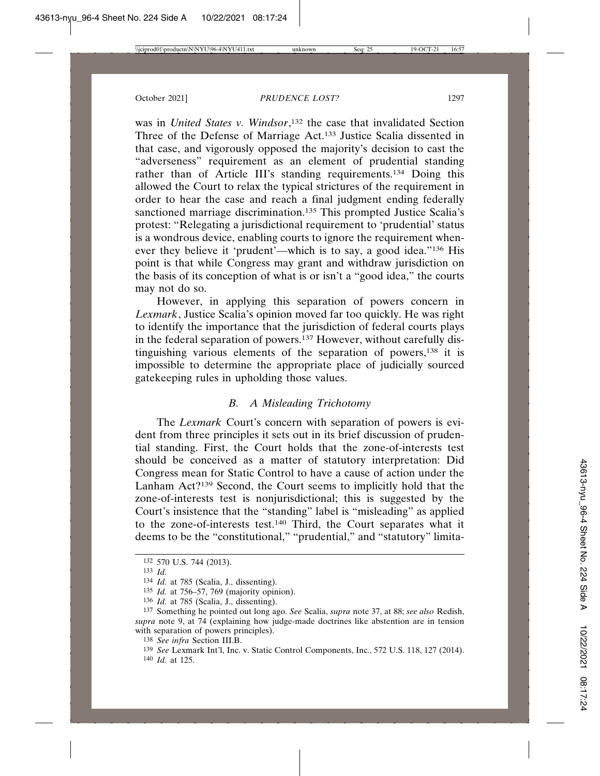was in *United States v. Windsor*, 132 the case that invalidated Section Three of the Defense of Marriage Act.133 Justice Scalia dissented in that case, and vigorously opposed the majority's decision to cast the "adverseness" requirement as an element of prudential standing rather than of Article III's standing requirements.<sup>134</sup> Doing this allowed the Court to relax the typical strictures of the requirement in order to hear the case and reach a final judgment ending federally sanctioned marriage discrimination.<sup>135</sup> This prompted Justice Scalia's protest: "Relegating a jurisdictional requirement to 'prudential' status is a wondrous device, enabling courts to ignore the requirement whenever they believe it 'prudent'—which is to say, a good idea."136 His point is that while Congress may grant and withdraw jurisdiction on the basis of its conception of what is or isn't a "good idea," the courts may not do so.

However, in applying this separation of powers concern in *Lexmark*, Justice Scalia's opinion moved far too quickly. He was right to identify the importance that the jurisdiction of federal courts plays in the federal separation of powers.137 However, without carefully distinguishing various elements of the separation of powers,138 it is impossible to determine the appropriate place of judicially sourced gatekeeping rules in upholding those values.

## *B. A Misleading Trichotomy*

The *Lexmark* Court's concern with separation of powers is evident from three principles it sets out in its brief discussion of prudential standing. First, the Court holds that the zone-of-interests test should be conceived as a matter of statutory interpretation: Did Congress mean for Static Control to have a cause of action under the Lanham Act?139 Second, the Court seems to implicitly hold that the zone-of-interests test is nonjurisdictional; this is suggested by the Court's insistence that the "standing" label is "misleading" as applied to the zone-of-interests test.140 Third, the Court separates what it deems to be the "constitutional," "prudential," and "statutory" limita-

<sup>132</sup> 570 U.S. 744 (2013).

<sup>133</sup> *Id.*

<sup>134</sup> *Id.* at 785 (Scalia, J., dissenting).

<sup>135</sup> *Id.* at 756–57, 769 (majority opinion).

<sup>136</sup> *Id.* at 785 (Scalia, J., dissenting).

<sup>137</sup> Something he pointed out long ago. *See* Scalia, *supra* note 37, at 88; *see also* Redish, *supra* note 9, at 74 (explaining how judge-made doctrines like abstention are in tension with separation of powers principles).

<sup>138</sup> *See infra* Section III.B.

<sup>139</sup> *See* Lexmark Int'l, Inc. v. Static Control Components, Inc., 572 U.S. 118, 127 (2014). 140 *Id.* at 125.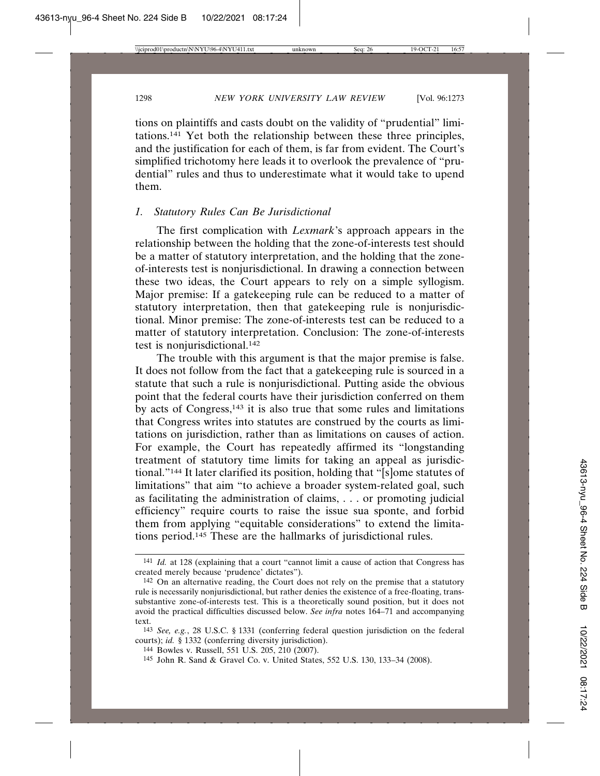tions on plaintiffs and casts doubt on the validity of "prudential" limitations.141 Yet both the relationship between these three principles, and the justification for each of them, is far from evident. The Court's simplified trichotomy here leads it to overlook the prevalence of "prudential" rules and thus to underestimate what it would take to upend them.

## *1. Statutory Rules Can Be Jurisdictional*

The first complication with *Lexmark*'s approach appears in the relationship between the holding that the zone-of-interests test should be a matter of statutory interpretation, and the holding that the zoneof-interests test is nonjurisdictional. In drawing a connection between these two ideas, the Court appears to rely on a simple syllogism. Major premise: If a gatekeeping rule can be reduced to a matter of statutory interpretation, then that gatekeeping rule is nonjurisdictional. Minor premise: The zone-of-interests test can be reduced to a matter of statutory interpretation. Conclusion: The zone-of-interests test is nonjurisdictional.<sup>142</sup>

The trouble with this argument is that the major premise is false. It does not follow from the fact that a gatekeeping rule is sourced in a statute that such a rule is nonjurisdictional. Putting aside the obvious point that the federal courts have their jurisdiction conferred on them by acts of Congress,143 it is also true that some rules and limitations that Congress writes into statutes are construed by the courts as limitations on jurisdiction, rather than as limitations on causes of action. For example, the Court has repeatedly affirmed its "longstanding treatment of statutory time limits for taking an appeal as jurisdictional."144 It later clarified its position, holding that "[s]ome statutes of limitations" that aim "to achieve a broader system-related goal, such as facilitating the administration of claims, . . . or promoting judicial efficiency" require courts to raise the issue sua sponte, and forbid them from applying "equitable considerations" to extend the limitations period.145 These are the hallmarks of jurisdictional rules.

<sup>141</sup> *Id.* at 128 (explaining that a court "cannot limit a cause of action that Congress has created merely because 'prudence' dictates").

<sup>142</sup> On an alternative reading, the Court does not rely on the premise that a statutory rule is necessarily nonjurisdictional, but rather denies the existence of a free-floating, transsubstantive zone-of-interests test. This is a theoretically sound position, but it does not avoid the practical difficulties discussed below. *See infra* notes 164–71 and accompanying text.

<sup>143</sup> *See, e.g.*, 28 U.S.C. § 1331 (conferring federal question jurisdiction on the federal courts); *id.* § 1332 (conferring diversity jurisdiction).

<sup>144</sup> Bowles v. Russell, 551 U.S. 205, 210 (2007).

<sup>145</sup> John R. Sand & Gravel Co. v. United States, 552 U.S. 130, 133–34 (2008).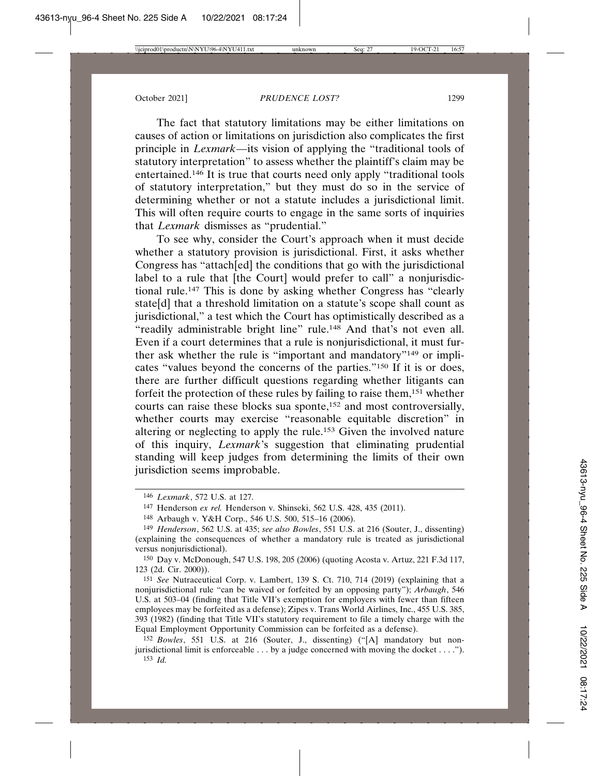The fact that statutory limitations may be either limitations on causes of action or limitations on jurisdiction also complicates the first principle in *Lexmark*—its vision of applying the "traditional tools of statutory interpretation" to assess whether the plaintiff's claim may be entertained.146 It is true that courts need only apply "traditional tools of statutory interpretation," but they must do so in the service of determining whether or not a statute includes a jurisdictional limit. This will often require courts to engage in the same sorts of inquiries that *Lexmark* dismisses as "prudential."

To see why, consider the Court's approach when it must decide whether a statutory provision is jurisdictional. First, it asks whether Congress has "attach[ed] the conditions that go with the jurisdictional label to a rule that [the Court] would prefer to call" a nonjurisdictional rule.147 This is done by asking whether Congress has "clearly state[d] that a threshold limitation on a statute's scope shall count as jurisdictional," a test which the Court has optimistically described as a "readily administrable bright line" rule.<sup>148</sup> And that's not even all. Even if a court determines that a rule is nonjurisdictional, it must further ask whether the rule is "important and mandatory"149 or implicates "values beyond the concerns of the parties."150 If it is or does, there are further difficult questions regarding whether litigants can forfeit the protection of these rules by failing to raise them,151 whether courts can raise these blocks sua sponte,<sup>152</sup> and most controversially, whether courts may exercise "reasonable equitable discretion" in altering or neglecting to apply the rule.153 Given the involved nature of this inquiry, *Lexmark*'s suggestion that eliminating prudential standing will keep judges from determining the limits of their own jurisdiction seems improbable.

<sup>146</sup> *Lexmark*, 572 U.S. at 127.

<sup>147</sup> Henderson *ex rel.* Henderson v. Shinseki, 562 U.S. 428, 435 (2011).

<sup>148</sup> Arbaugh v. Y&H Corp., 546 U.S. 500, 515–16 (2006).

<sup>149</sup> *Henderson*, 562 U.S. at 435; *see also Bowles*, 551 U.S. at 216 (Souter, J., dissenting) (explaining the consequences of whether a mandatory rule is treated as jurisdictional versus nonjurisdictional).

<sup>150</sup> Day v. McDonough, 547 U.S. 198, 205 (2006) (quoting Acosta v. Artuz, 221 F.3d 117, 123 (2d. Cir. 2000)).

<sup>151</sup> *See* Nutraceutical Corp. v. Lambert, 139 S. Ct. 710, 714 (2019) (explaining that a nonjurisdictional rule "can be waived or forfeited by an opposing party"); *Arbaugh*, 546 U.S. at 503–04 (finding that Title VII's exemption for employers with fewer than fifteen employees may be forfeited as a defense); Zipes v. Trans World Airlines, Inc., 455 U.S. 385, 393 (1982) (finding that Title VII's statutory requirement to file a timely charge with the Equal Employment Opportunity Commission can be forfeited as a defense).

<sup>152</sup> *Bowles*, 551 U.S. at 216 (Souter, J., dissenting) ("[A] mandatory but nonjurisdictional limit is enforceable . . . by a judge concerned with moving the docket . . . .").

<sup>153</sup> *Id.*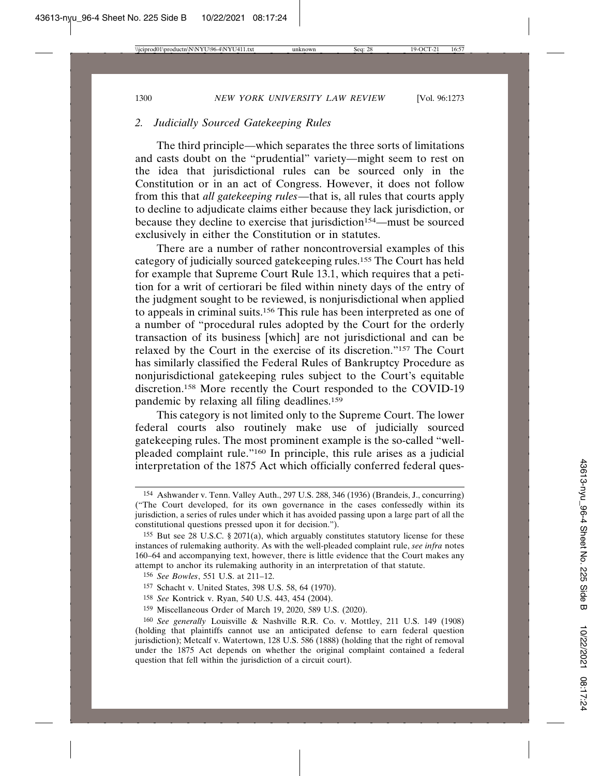## *2. Judicially Sourced Gatekeeping Rules*

The third principle—which separates the three sorts of limitations and casts doubt on the "prudential" variety—might seem to rest on the idea that jurisdictional rules can be sourced only in the Constitution or in an act of Congress. However, it does not follow from this that *all gatekeeping rules*—that is, all rules that courts apply to decline to adjudicate claims either because they lack jurisdiction, or because they decline to exercise that jurisdiction<sup>154</sup>—must be sourced exclusively in either the Constitution or in statutes.

There are a number of rather noncontroversial examples of this category of judicially sourced gatekeeping rules.155 The Court has held for example that Supreme Court Rule 13.1, which requires that a petition for a writ of certiorari be filed within ninety days of the entry of the judgment sought to be reviewed, is nonjurisdictional when applied to appeals in criminal suits.156 This rule has been interpreted as one of a number of "procedural rules adopted by the Court for the orderly transaction of its business [which] are not jurisdictional and can be relaxed by the Court in the exercise of its discretion."157 The Court has similarly classified the Federal Rules of Bankruptcy Procedure as nonjurisdictional gatekeeping rules subject to the Court's equitable discretion.158 More recently the Court responded to the COVID-19 pandemic by relaxing all filing deadlines.159

This category is not limited only to the Supreme Court. The lower federal courts also routinely make use of judicially sourced gatekeeping rules. The most prominent example is the so-called "wellpleaded complaint rule."160 In principle, this rule arises as a judicial interpretation of the 1875 Act which officially conferred federal ques-

- 157 Schacht v. United States, 398 U.S. 58, 64 (1970).
- 158 *See* Kontrick v. Ryan, 540 U.S. 443, 454 (2004).
- 159 Miscellaneous Order of March 19, 2020, 589 U.S. (2020).

<sup>154</sup> Ashwander v. Tenn. Valley Auth., 297 U.S. 288, 346 (1936) (Brandeis, J., concurring) ("The Court developed, for its own governance in the cases confessedly within its jurisdiction, a series of rules under which it has avoided passing upon a large part of all the constitutional questions pressed upon it for decision.").

<sup>&</sup>lt;sup>155</sup> But see 28 U.S.C. § 2071(a), which arguably constitutes statutory license for these instances of rulemaking authority. As with the well-pleaded complaint rule, *see infra* notes 160–64 and accompanying text, however, there is little evidence that the Court makes any attempt to anchor its rulemaking authority in an interpretation of that statute.

<sup>156</sup> *See Bowles*, 551 U.S. at 211–12.

<sup>160</sup> *See generally* Louisville & Nashville R.R. Co. v. Mottley, 211 U.S. 149 (1908) (holding that plaintiffs cannot use an anticipated defense to earn federal question jurisdiction); Metcalf v. Watertown, 128 U.S. 586 (1888) (holding that the right of removal under the 1875 Act depends on whether the original complaint contained a federal question that fell within the jurisdiction of a circuit court).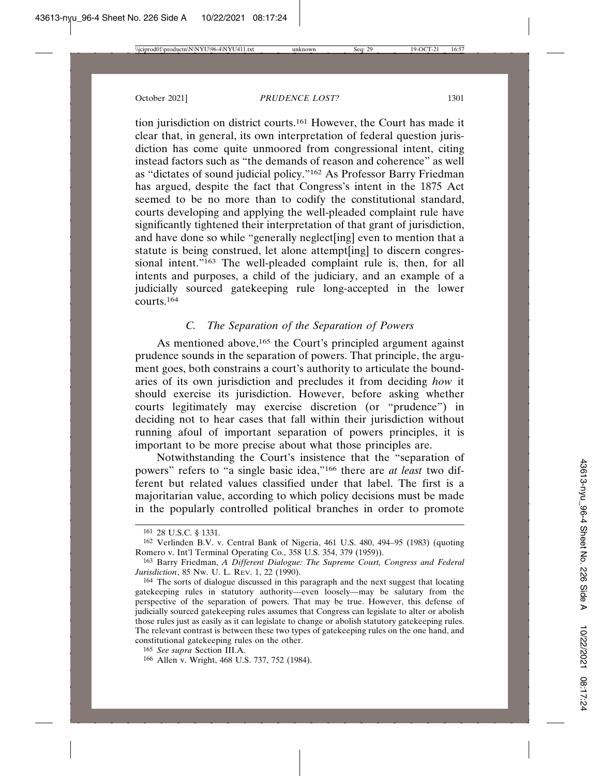tion jurisdiction on district courts.161 However, the Court has made it clear that, in general, its own interpretation of federal question jurisdiction has come quite unmoored from congressional intent, citing instead factors such as "the demands of reason and coherence" as well as "dictates of sound judicial policy."162 As Professor Barry Friedman has argued, despite the fact that Congress's intent in the 1875 Act seemed to be no more than to codify the constitutional standard, courts developing and applying the well-pleaded complaint rule have significantly tightened their interpretation of that grant of jurisdiction, and have done so while "generally neglect[ing] even to mention that a statute is being construed, let alone attempt[ing] to discern congressional intent."<sup>163</sup> The well-pleaded complaint rule is, then, for all intents and purposes, a child of the judiciary, and an example of a judicially sourced gatekeeping rule long-accepted in the lower  $\frac{164}{ }$ 

## *C. The Separation of the Separation of Powers*

As mentioned above,<sup>165</sup> the Court's principled argument against prudence sounds in the separation of powers. That principle, the argument goes, both constrains a court's authority to articulate the boundaries of its own jurisdiction and precludes it from deciding *how* it should exercise its jurisdiction. However, before asking whether courts legitimately may exercise discretion (or "prudence") in deciding not to hear cases that fall within their jurisdiction without running afoul of important separation of powers principles, it is important to be more precise about what those principles are.

Notwithstanding the Court's insistence that the "separation of powers" refers to "a single basic idea,"166 there are *at least* two different but related values classified under that label. The first is a majoritarian value, according to which policy decisions must be made in the popularly controlled political branches in order to promote

<sup>161</sup> 28 U.S.C. § 1331.

<sup>162</sup> Verlinden B.V. v. Central Bank of Nigeria, 461 U.S. 480, 494–95 (1983) (quoting Romero v. Int'l Terminal Operating Co., 358 U.S. 354, 379 (1959)).

<sup>163</sup> Barry Friedman, *A Different Dialogue: The Supreme Court, Congress and Federal Jurisdiction*, 85 NW. U. L. REV. 1, 22 (1990).

<sup>164</sup> The sorts of dialogue discussed in this paragraph and the next suggest that locating gatekeeping rules in statutory authority—even loosely—may be salutary from the perspective of the separation of powers. That may be true. However, this defense of judicially sourced gatekeeping rules assumes that Congress can legislate to alter or abolish those rules just as easily as it can legislate to change or abolish statutory gatekeeping rules. The relevant contrast is between these two types of gatekeeping rules on the one hand, and constitutional gatekeeping rules on the other.

<sup>165</sup> *See supra* Section III.A.

<sup>166</sup> Allen v. Wright, 468 U.S. 737, 752 (1984).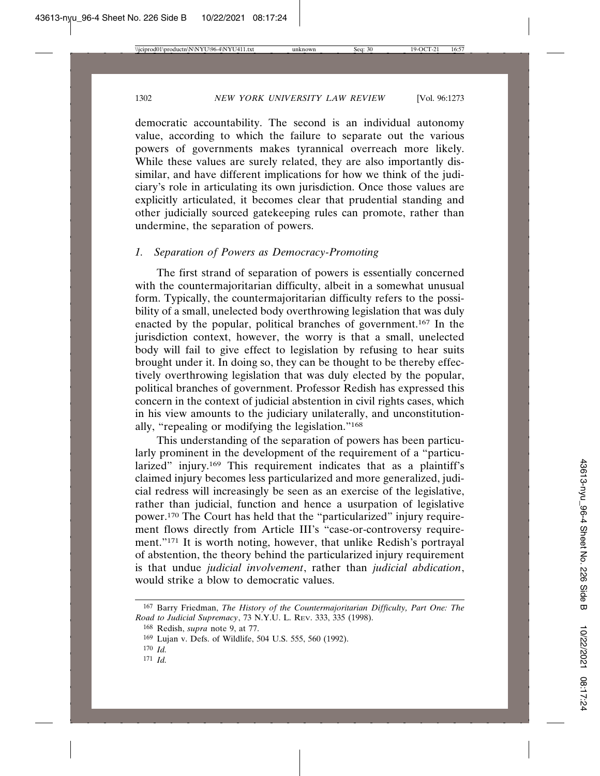democratic accountability. The second is an individual autonomy value, according to which the failure to separate out the various powers of governments makes tyrannical overreach more likely. While these values are surely related, they are also importantly dissimilar, and have different implications for how we think of the judiciary's role in articulating its own jurisdiction. Once those values are explicitly articulated, it becomes clear that prudential standing and other judicially sourced gatekeeping rules can promote, rather than undermine, the separation of powers.

#### *1. Separation of Powers as Democracy-Promoting*

The first strand of separation of powers is essentially concerned with the countermajoritarian difficulty, albeit in a somewhat unusual form. Typically, the countermajoritarian difficulty refers to the possibility of a small, unelected body overthrowing legislation that was duly enacted by the popular, political branches of government.167 In the jurisdiction context, however, the worry is that a small, unelected body will fail to give effect to legislation by refusing to hear suits brought under it. In doing so, they can be thought to be thereby effectively overthrowing legislation that was duly elected by the popular, political branches of government. Professor Redish has expressed this concern in the context of judicial abstention in civil rights cases, which in his view amounts to the judiciary unilaterally, and unconstitutionally, "repealing or modifying the legislation."168

This understanding of the separation of powers has been particularly prominent in the development of the requirement of a "particularized" injury.<sup>169</sup> This requirement indicates that as a plaintiff's claimed injury becomes less particularized and more generalized, judicial redress will increasingly be seen as an exercise of the legislative, rather than judicial, function and hence a usurpation of legislative power.170 The Court has held that the "particularized" injury requirement flows directly from Article III's "case-or-controversy requirement."171 It is worth noting, however, that unlike Redish's portrayal of abstention, the theory behind the particularized injury requirement is that undue *judicial involvement*, rather than *judicial abdication*, would strike a blow to democratic values.

<sup>167</sup> Barry Friedman, *The History of the Countermajoritarian Difficulty, Part One: The Road to Judicial Supremacy*, 73 N.Y.U. L. REV. 333, 335 (1998).

<sup>168</sup> Redish, *supra* note 9, at 77.

<sup>169</sup> Lujan v. Defs. of Wildlife, 504 U.S. 555, 560 (1992).

<sup>170</sup> *Id.*

<sup>171</sup> *Id.*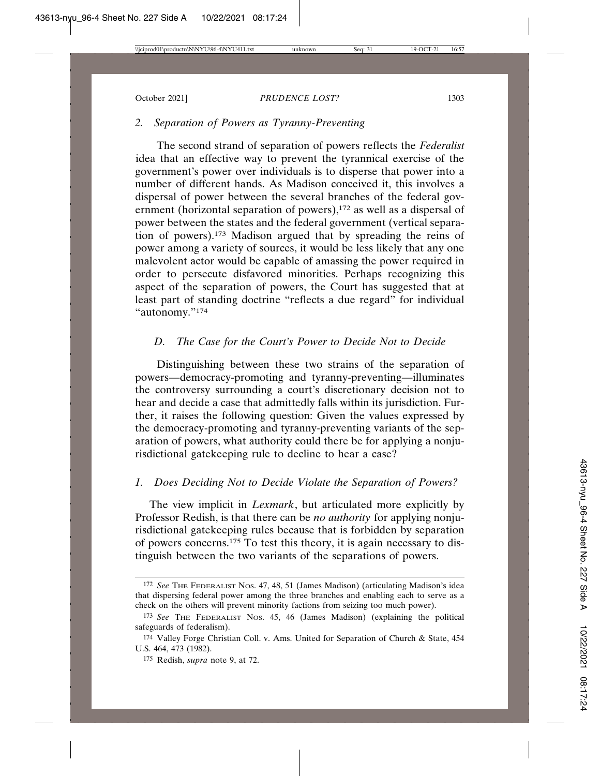## *2. Separation of Powers as Tyranny-Preventing*

The second strand of separation of powers reflects the *Federalist* idea that an effective way to prevent the tyrannical exercise of the government's power over individuals is to disperse that power into a number of different hands. As Madison conceived it, this involves a dispersal of power between the several branches of the federal government (horizontal separation of powers),<sup>172</sup> as well as a dispersal of power between the states and the federal government (vertical separation of powers).173 Madison argued that by spreading the reins of power among a variety of sources, it would be less likely that any one malevolent actor would be capable of amassing the power required in order to persecute disfavored minorities. Perhaps recognizing this aspect of the separation of powers, the Court has suggested that at least part of standing doctrine "reflects a due regard" for individual "autonomy."174

## *D. The Case for the Court's Power to Decide Not to Decide*

Distinguishing between these two strains of the separation of powers—democracy-promoting and tyranny-preventing—illuminates the controversy surrounding a court's discretionary decision not to hear and decide a case that admittedly falls within its jurisdiction. Further, it raises the following question: Given the values expressed by the democracy-promoting and tyranny-preventing variants of the separation of powers, what authority could there be for applying a nonjurisdictional gatekeeping rule to decline to hear a case?

## *1. Does Deciding Not to Decide Violate the Separation of Powers?*

 The view implicit in *Lexmark*, but articulated more explicitly by Professor Redish, is that there can be *no authority* for applying nonjurisdictional gatekeeping rules because that is forbidden by separation of powers concerns.175 To test this theory, it is again necessary to distinguish between the two variants of the separations of powers.

<sup>172</sup> *See* THE FEDERALIST NOS. 47, 48, 51 (James Madison) (articulating Madison's idea that dispersing federal power among the three branches and enabling each to serve as a check on the others will prevent minority factions from seizing too much power).

<sup>173</sup> *See* THE FEDERALIST NOS. 45, 46 (James Madison) (explaining the political safeguards of federalism).

<sup>174</sup> Valley Forge Christian Coll. v. Ams. United for Separation of Church & State, 454 U.S. 464, 473 (1982).

<sup>175</sup> Redish, *supra* note 9, at 72.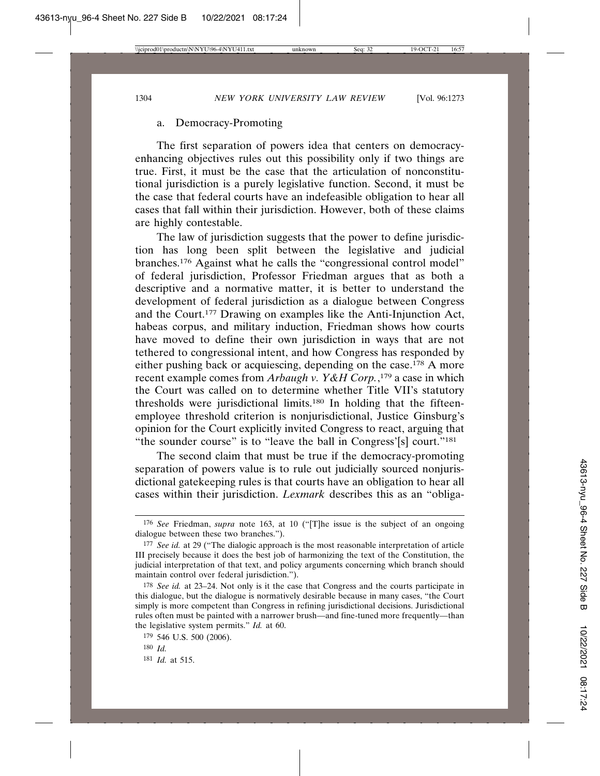## a. Democracy-Promoting

The first separation of powers idea that centers on democracyenhancing objectives rules out this possibility only if two things are true. First, it must be the case that the articulation of nonconstitutional jurisdiction is a purely legislative function. Second, it must be the case that federal courts have an indefeasible obligation to hear all cases that fall within their jurisdiction. However, both of these claims are highly contestable.

The law of jurisdiction suggests that the power to define jurisdiction has long been split between the legislative and judicial branches.176 Against what he calls the "congressional control model" of federal jurisdiction, Professor Friedman argues that as both a descriptive and a normative matter, it is better to understand the development of federal jurisdiction as a dialogue between Congress and the Court.177 Drawing on examples like the Anti-Injunction Act, habeas corpus, and military induction, Friedman shows how courts have moved to define their own jurisdiction in ways that are not tethered to congressional intent, and how Congress has responded by either pushing back or acquiescing, depending on the case.178 A more recent example comes from *Arbaugh v. Y&H Corp.*, 179 a case in which the Court was called on to determine whether Title VII's statutory thresholds were jurisdictional limits.180 In holding that the fifteenemployee threshold criterion is nonjurisdictional, Justice Ginsburg's opinion for the Court explicitly invited Congress to react, arguing that "the sounder course" is to "leave the ball in Congress'[s] court."<sup>181</sup>

The second claim that must be true if the democracy-promoting separation of powers value is to rule out judicially sourced nonjurisdictional gatekeeping rules is that courts have an obligation to hear all cases within their jurisdiction. *Lexmark* describes this as an "obliga-

<sup>176</sup> *See* Friedman, *supra* note 163, at 10 ("[T]he issue is the subject of an ongoing dialogue between these two branches.").

<sup>177</sup> *See id.* at 29 ("The dialogic approach is the most reasonable interpretation of article III precisely because it does the best job of harmonizing the text of the Constitution, the judicial interpretation of that text, and policy arguments concerning which branch should maintain control over federal jurisdiction.").

<sup>178</sup> *See id.* at 23–24. Not only is it the case that Congress and the courts participate in this dialogue, but the dialogue is normatively desirable because in many cases, "the Court simply is more competent than Congress in refining jurisdictional decisions. Jurisdictional rules often must be painted with a narrower brush—and fine-tuned more frequently—than the legislative system permits." *Id.* at 60.

<sup>179</sup> 546 U.S. 500 (2006).

<sup>180</sup> *Id.*

<sup>181</sup> *Id.* at 515.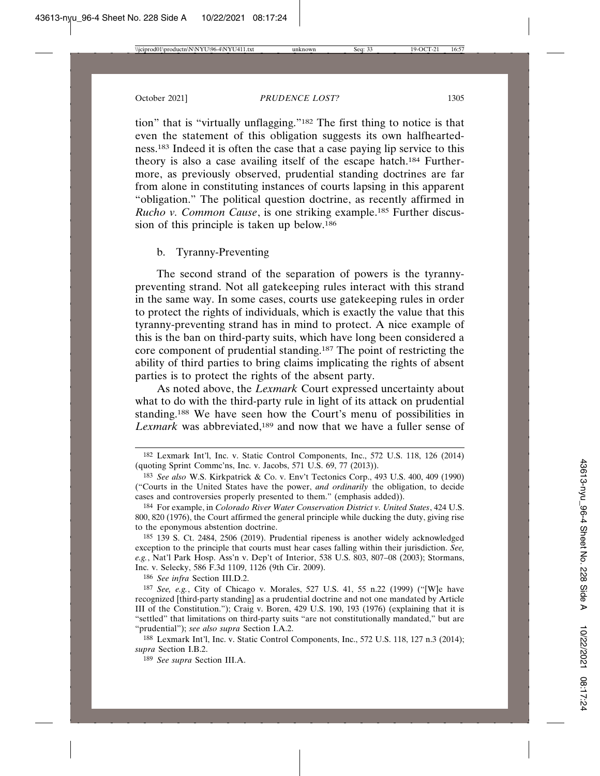tion" that is "virtually unflagging."182 The first thing to notice is that even the statement of this obligation suggests its own halfheartedness.183 Indeed it is often the case that a case paying lip service to this theory is also a case availing itself of the escape hatch.184 Furthermore, as previously observed, prudential standing doctrines are far from alone in constituting instances of courts lapsing in this apparent "obligation." The political question doctrine, as recently affirmed in *Rucho v. Common Cause*, is one striking example.185 Further discussion of this principle is taken up below.186

## b. Tyranny-Preventing

The second strand of the separation of powers is the tyrannypreventing strand. Not all gatekeeping rules interact with this strand in the same way. In some cases, courts use gatekeeping rules in order to protect the rights of individuals, which is exactly the value that this tyranny-preventing strand has in mind to protect. A nice example of this is the ban on third-party suits, which have long been considered a core component of prudential standing.187 The point of restricting the ability of third parties to bring claims implicating the rights of absent parties is to protect the rights of the absent party.

As noted above, the *Lexmark* Court expressed uncertainty about what to do with the third-party rule in light of its attack on prudential standing.188 We have seen how the Court's menu of possibilities in *Lexmark* was abbreviated,189 and now that we have a fuller sense of

186 *See infra* Section III.D.2.

187 *See, e.g.*, City of Chicago v. Morales, 527 U.S. 41, 55 n.22 (1999) ("[W]e have recognized [third-party standing] as a prudential doctrine and not one mandated by Article III of the Constitution."); Craig v. Boren, 429 U.S. 190, 193 (1976) (explaining that it is "settled" that limitations on third-party suits "are not constitutionally mandated," but are "prudential"); *see also supra* Section I.A.2.

188 Lexmark Int'l, Inc. v. Static Control Components, Inc., 572 U.S. 118, 127 n.3 (2014); *supra* Section I.B.2.

189 *See supra* Section III.A.

<sup>182</sup> Lexmark Int'l, Inc. v. Static Control Components, Inc., 572 U.S. 118, 126 (2014) (quoting Sprint Commc'ns, Inc. v. Jacobs, 571 U.S. 69, 77 (2013)).

<sup>183</sup> *See also* W.S. Kirkpatrick & Co. v. Env't Tectonics Corp., 493 U.S. 400, 409 (1990) ("Courts in the United States have the power, *and ordinarily* the obligation, to decide cases and controversies properly presented to them." (emphasis added)).

<sup>184</sup> For example, in *Colorado River Water Conservation District v. United States*, 424 U.S. 800, 820 (1976), the Court affirmed the general principle while ducking the duty, giving rise to the eponymous abstention doctrine.

<sup>185</sup> 139 S. Ct. 2484, 2506 (2019). Prudential ripeness is another widely acknowledged exception to the principle that courts must hear cases falling within their jurisdiction. *See, e.g.*, Nat'l Park Hosp. Ass'n v. Dep't of Interior, 538 U.S. 803, 807–08 (2003); Stormans, Inc. v. Selecky, 586 F.3d 1109, 1126 (9th Cir. 2009).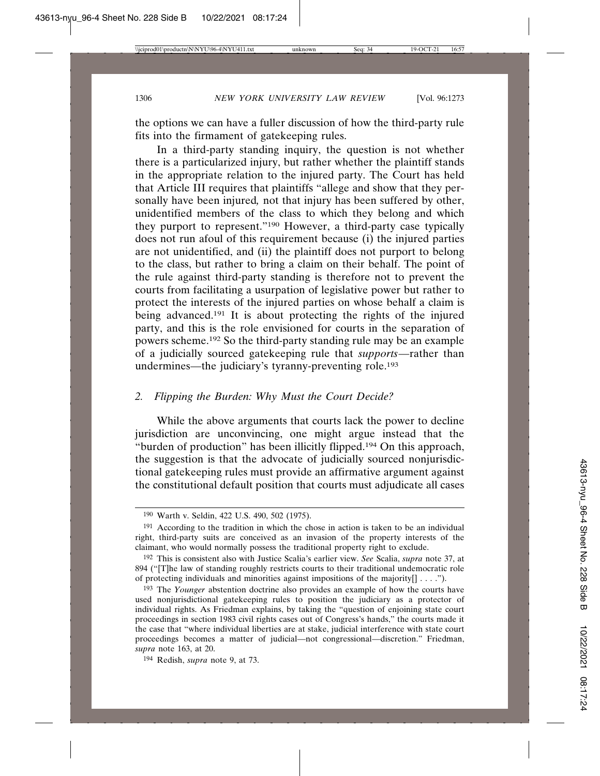the options we can have a fuller discussion of how the third-party rule fits into the firmament of gatekeeping rules.

In a third-party standing inquiry, the question is not whether there is a particularized injury, but rather whether the plaintiff stands in the appropriate relation to the injured party. The Court has held that Article III requires that plaintiffs "allege and show that they personally have been injured*,* not that injury has been suffered by other, unidentified members of the class to which they belong and which they purport to represent."190 However, a third-party case typically does not run afoul of this requirement because (i) the injured parties are not unidentified, and (ii) the plaintiff does not purport to belong to the class, but rather to bring a claim on their behalf. The point of the rule against third-party standing is therefore not to prevent the courts from facilitating a usurpation of legislative power but rather to protect the interests of the injured parties on whose behalf a claim is being advanced.<sup>191</sup> It is about protecting the rights of the injured party, and this is the role envisioned for courts in the separation of powers scheme.192 So the third-party standing rule may be an example of a judicially sourced gatekeeping rule that *supports*—rather than undermines—the judiciary's tyranny-preventing role.193

## *2. Flipping the Burden: Why Must the Court Decide?*

While the above arguments that courts lack the power to decline jurisdiction are unconvincing, one might argue instead that the "burden of production" has been illicitly flipped.194 On this approach, the suggestion is that the advocate of judicially sourced nonjurisdictional gatekeeping rules must provide an affirmative argument against the constitutional default position that courts must adjudicate all cases

194 Redish, *supra* note 9, at 73.

<sup>190</sup> Warth v. Seldin, 422 U.S. 490, 502 (1975).

<sup>&</sup>lt;sup>191</sup> According to the tradition in which the chose in action is taken to be an individual right, third-party suits are conceived as an invasion of the property interests of the claimant, who would normally possess the traditional property right to exclude.

<sup>192</sup> This is consistent also with Justice Scalia's earlier view. *See* Scalia, *supra* note 37, at 894 ("[T]he law of standing roughly restricts courts to their traditional undemocratic role of protecting individuals and minorities against impositions of the majority[] . . . .").

<sup>193</sup> The *Younger* abstention doctrine also provides an example of how the courts have used nonjurisdictional gatekeeping rules to position the judiciary as a protector of individual rights. As Friedman explains, by taking the "question of enjoining state court proceedings in section 1983 civil rights cases out of Congress's hands," the courts made it the case that "where individual liberties are at stake, judicial interference with state court proceedings becomes a matter of judicial—not congressional—discretion." Friedman, *supra* note 163, at 20.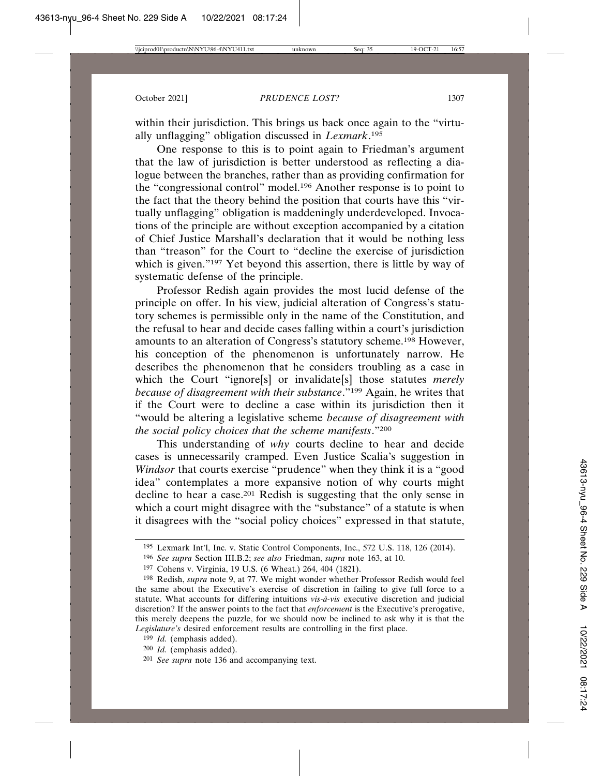within their jurisdiction. This brings us back once again to the "virtually unflagging" obligation discussed in *Lexmark*. 195

One response to this is to point again to Friedman's argument that the law of jurisdiction is better understood as reflecting a dialogue between the branches, rather than as providing confirmation for the "congressional control" model.196 Another response is to point to the fact that the theory behind the position that courts have this "virtually unflagging" obligation is maddeningly underdeveloped. Invocations of the principle are without exception accompanied by a citation of Chief Justice Marshall's declaration that it would be nothing less than "treason" for the Court to "decline the exercise of jurisdiction which is given."<sup>197</sup> Yet beyond this assertion, there is little by way of systematic defense of the principle.

Professor Redish again provides the most lucid defense of the principle on offer. In his view, judicial alteration of Congress's statutory schemes is permissible only in the name of the Constitution, and the refusal to hear and decide cases falling within a court's jurisdiction amounts to an alteration of Congress's statutory scheme.198 However, his conception of the phenomenon is unfortunately narrow. He describes the phenomenon that he considers troubling as a case in which the Court "ignore[s] or invalidate[s] those statutes *merely because of disagreement with their substance*."199 Again, he writes that if the Court were to decline a case within its jurisdiction then it "would be altering a legislative scheme *because of disagreement with the social policy choices that the scheme manifests*."200

This understanding of *why* courts decline to hear and decide cases is unnecessarily cramped. Even Justice Scalia's suggestion in *Windsor* that courts exercise "prudence" when they think it is a "good idea" contemplates a more expansive notion of why courts might decline to hear a case.201 Redish is suggesting that the only sense in which a court might disagree with the "substance" of a statute is when it disagrees with the "social policy choices" expressed in that statute,

<sup>195</sup> Lexmark Int'l, Inc. v. Static Control Components, Inc., 572 U.S. 118, 126 (2014).

<sup>196</sup> *See supra* Section III.B.2; *see also* Friedman, *supra* note 163, at 10.

<sup>197</sup> Cohens v. Virginia, 19 U.S. (6 Wheat.) 264, 404 (1821).

<sup>198</sup> Redish, *supra* note 9, at 77. We might wonder whether Professor Redish would feel the same about the Executive's exercise of discretion in failing to give full force to a statute. What accounts for differing intuitions vis-à-vis executive discretion and judicial discretion? If the answer points to the fact that *enforcement* is the Executive's prerogative, this merely deepens the puzzle, for we should now be inclined to ask why it is that the *Legislature's* desired enforcement results are controlling in the first place.

<sup>199</sup> *Id.* (emphasis added).

<sup>200</sup> *Id.* (emphasis added).

<sup>201</sup> *See supra* note 136 and accompanying text.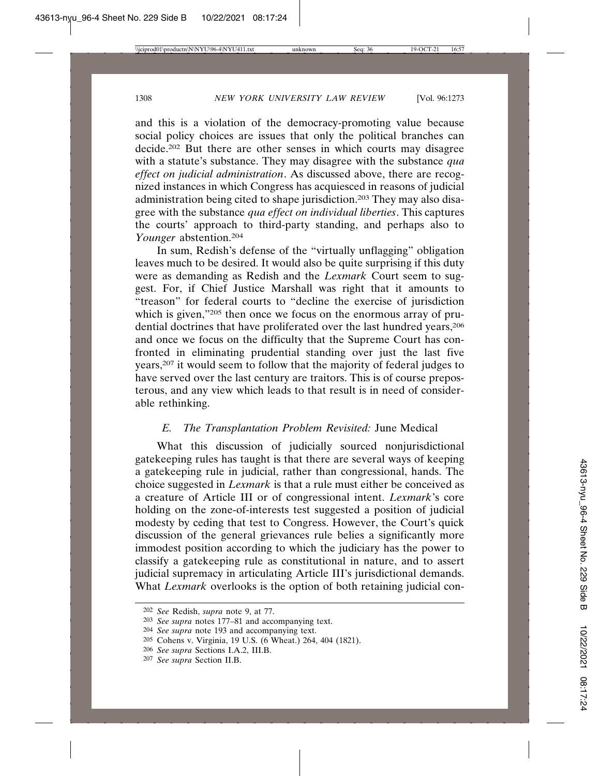and this is a violation of the democracy-promoting value because social policy choices are issues that only the political branches can decide.202 But there are other senses in which courts may disagree with a statute's substance. They may disagree with the substance *qua effect on judicial administration*. As discussed above, there are recognized instances in which Congress has acquiesced in reasons of judicial administration being cited to shape jurisdiction.203 They may also disagree with the substance *qua effect on individual liberties*. This captures the courts' approach to third-party standing, and perhaps also to *Younger* abstention.204

In sum, Redish's defense of the "virtually unflagging" obligation leaves much to be desired. It would also be quite surprising if this duty were as demanding as Redish and the *Lexmark* Court seem to suggest. For, if Chief Justice Marshall was right that it amounts to "treason" for federal courts to "decline the exercise of jurisdiction which is given,"205 then once we focus on the enormous array of prudential doctrines that have proliferated over the last hundred years,<sup>206</sup> and once we focus on the difficulty that the Supreme Court has confronted in eliminating prudential standing over just the last five years,207 it would seem to follow that the majority of federal judges to have served over the last century are traitors. This is of course preposterous, and any view which leads to that result is in need of considerable rethinking.

## *E. The Transplantation Problem Revisited:* June Medical

What this discussion of judicially sourced nonjurisdictional gatekeeping rules has taught is that there are several ways of keeping a gatekeeping rule in judicial, rather than congressional, hands. The choice suggested in *Lexmark* is that a rule must either be conceived as a creature of Article III or of congressional intent. *Lexmark*'s core holding on the zone-of-interests test suggested a position of judicial modesty by ceding that test to Congress. However, the Court's quick discussion of the general grievances rule belies a significantly more immodest position according to which the judiciary has the power to classify a gatekeeping rule as constitutional in nature, and to assert judicial supremacy in articulating Article III's jurisdictional demands. What *Lexmark* overlooks is the option of both retaining judicial con-

<sup>202</sup> *See* Redish, *supra* note 9, at 77.

<sup>203</sup> *See supra* notes 177–81 and accompanying text.

<sup>204</sup> *See supra* note 193 and accompanying text.

<sup>205</sup> Cohens v. Virginia, 19 U.S. (6 Wheat.) 264, 404 (1821).

<sup>206</sup> *See supra* Sections I.A.2, III.B.

<sup>207</sup> *See supra* Section II.B.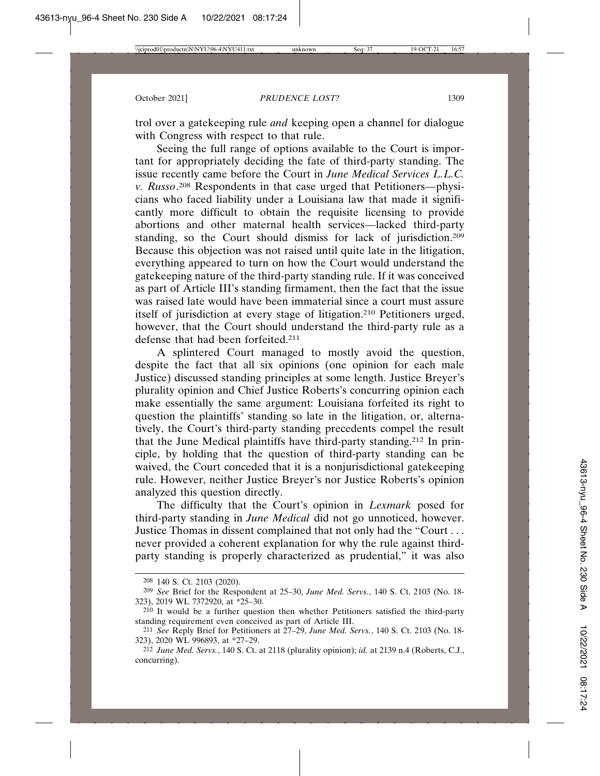trol over a gatekeeping rule *and* keeping open a channel for dialogue with Congress with respect to that rule.

Seeing the full range of options available to the Court is important for appropriately deciding the fate of third-party standing. The issue recently came before the Court in *June Medical Services L.L.C. v. Russo*. 208 Respondents in that case urged that Petitioners—physicians who faced liability under a Louisiana law that made it significantly more difficult to obtain the requisite licensing to provide abortions and other maternal health services—lacked third-party standing, so the Court should dismiss for lack of jurisdiction.209 Because this objection was not raised until quite late in the litigation, everything appeared to turn on how the Court would understand the gatekeeping nature of the third-party standing rule. If it was conceived as part of Article III's standing firmament, then the fact that the issue was raised late would have been immaterial since a court must assure itself of jurisdiction at every stage of litigation.210 Petitioners urged, however, that the Court should understand the third-party rule as a defense that had been forfeited.211

A splintered Court managed to mostly avoid the question, despite the fact that all six opinions (one opinion for each male Justice) discussed standing principles at some length. Justice Breyer's plurality opinion and Chief Justice Roberts's concurring opinion each make essentially the same argument: Louisiana forfeited its right to question the plaintiffs' standing so late in the litigation, or, alternatively, the Court's third-party standing precedents compel the result that the June Medical plaintiffs have third-party standing.212 In principle, by holding that the question of third-party standing can be waived, the Court conceded that it is a nonjurisdictional gatekeeping rule. However, neither Justice Breyer's nor Justice Roberts's opinion analyzed this question directly.

The difficulty that the Court's opinion in *Lexmark* posed for third-party standing in *June Medical* did not go unnoticed, however. Justice Thomas in dissent complained that not only had the "Court . . . never provided a coherent explanation for why the rule against thirdparty standing is properly characterized as prudential," it was also

<sup>208</sup> 140 S. Ct. 2103 (2020).

<sup>209</sup> *See* Brief for the Respondent at 25–30, *June Med. Servs.*, 140 S. Ct. 2103 (No. 18- 323), 2019 WL 7372920, at \*25–30.

<sup>210</sup> It would be a further question then whether Petitioners satisfied the third-party standing requirement even conceived as part of Article III.

<sup>211</sup> *See* Reply Brief for Petitioners at 27–29, *June Med. Servs.*, 140 S. Ct. 2103 (No. 18- 323), 2020 WL 996893, at \*27–29.

<sup>212</sup> *June Med. Servs.*, 140 S. Ct. at 2118 (plurality opinion); *id.* at 2139 n.4 (Roberts, C.J., concurring).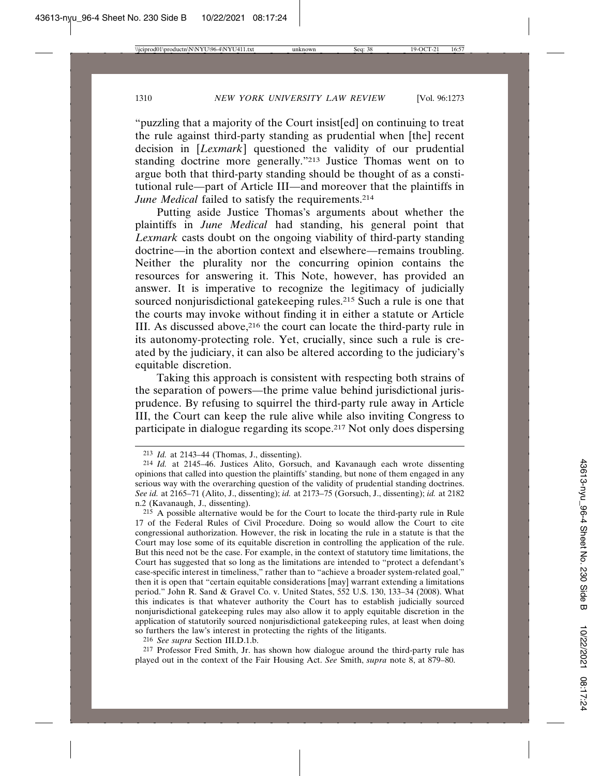"puzzling that a majority of the Court insist[ed] on continuing to treat the rule against third-party standing as prudential when [the] recent decision in [*Lexmark*] questioned the validity of our prudential standing doctrine more generally."213 Justice Thomas went on to argue both that third-party standing should be thought of as a constitutional rule—part of Article III—and moreover that the plaintiffs in *June Medical* failed to satisfy the requirements.<sup>214</sup>

Putting aside Justice Thomas's arguments about whether the plaintiffs in *June Medical* had standing, his general point that *Lexmark* casts doubt on the ongoing viability of third-party standing doctrine—in the abortion context and elsewhere—remains troubling. Neither the plurality nor the concurring opinion contains the resources for answering it. This Note, however, has provided an answer. It is imperative to recognize the legitimacy of judicially sourced nonjurisdictional gatekeeping rules.<sup>215</sup> Such a rule is one that the courts may invoke without finding it in either a statute or Article III. As discussed above,216 the court can locate the third-party rule in its autonomy-protecting role. Yet, crucially, since such a rule is created by the judiciary, it can also be altered according to the judiciary's equitable discretion.

Taking this approach is consistent with respecting both strains of the separation of powers—the prime value behind jurisdictional jurisprudence. By refusing to squirrel the third-party rule away in Article III, the Court can keep the rule alive while also inviting Congress to participate in dialogue regarding its scope.217 Not only does dispersing

216 *See supra* Section III.D.1.b.

217 Professor Fred Smith, Jr. has shown how dialogue around the third-party rule has played out in the context of the Fair Housing Act. *See* Smith, *supra* note 8, at 879–80.

<sup>213</sup> *Id.* at 2143–44 (Thomas, J., dissenting).

<sup>214</sup> *Id.* at 2145–46. Justices Alito, Gorsuch, and Kavanaugh each wrote dissenting opinions that called into question the plaintiffs' standing, but none of them engaged in any serious way with the overarching question of the validity of prudential standing doctrines. *See id.* at 2165–71 (Alito, J., dissenting); *id.* at 2173–75 (Gorsuch, J., dissenting); *id.* at 2182 n.2 (Kavanaugh, J., dissenting).

<sup>&</sup>lt;sup>215</sup> A possible alternative would be for the Court to locate the third-party rule in Rule 17 of the Federal Rules of Civil Procedure. Doing so would allow the Court to cite congressional authorization. However, the risk in locating the rule in a statute is that the Court may lose some of its equitable discretion in controlling the application of the rule. But this need not be the case. For example, in the context of statutory time limitations, the Court has suggested that so long as the limitations are intended to "protect a defendant's case-specific interest in timeliness," rather than to "achieve a broader system-related goal," then it is open that "certain equitable considerations [may] warrant extending a limitations period." John R. Sand & Gravel Co. v. United States, 552 U.S. 130, 133–34 (2008). What this indicates is that whatever authority the Court has to establish judicially sourced nonjurisdictional gatekeeping rules may also allow it to apply equitable discretion in the application of statutorily sourced nonjurisdictional gatekeeping rules, at least when doing so furthers the law's interest in protecting the rights of the litigants.